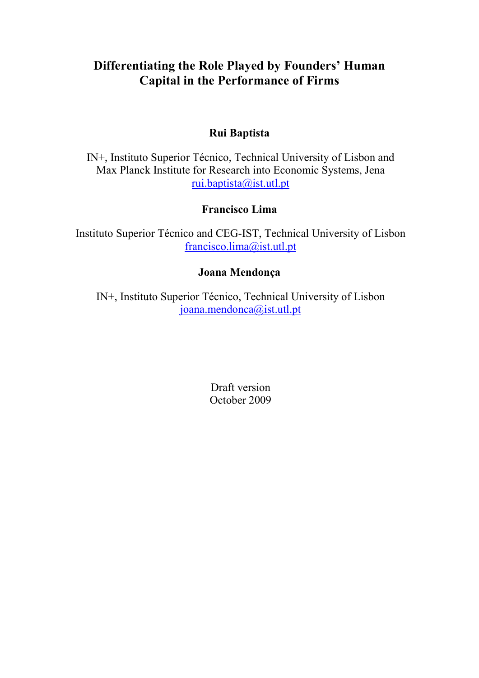# **Differentiating the Role Played by Founders' Human Capital in the Performance of Firms**

## **Rui Baptista**

IN+, Instituto Superior Técnico, Technical University of Lisbon and Max Planck Institute for Research into Economic Systems, Jena rui.baptista@ist.utl.pt

## **Francisco Lima**

Instituto Superior Técnico and CEG-IST, Technical University of Lisbon francisco.lima@ist.utl.pt

## **Joana Mendonça**

IN+, Instituto Superior Técnico, Technical University of Lisbon joana.mendonca@ist.utl.pt

> Draft version October 2009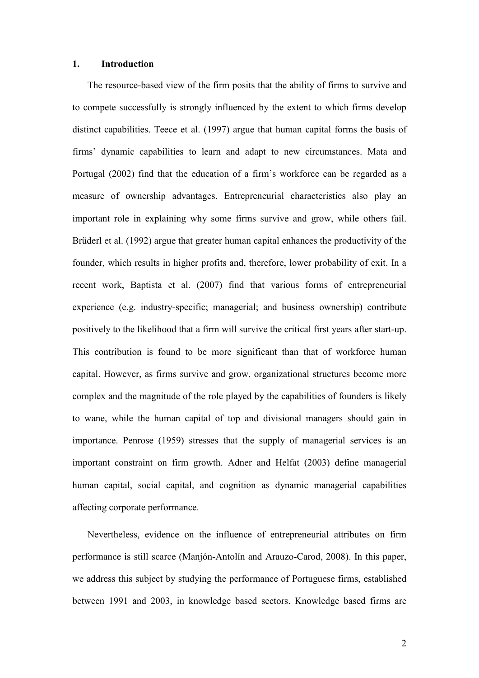## **1. Introduction**

The resource-based view of the firm posits that the ability of firms to survive and to compete successfully is strongly influenced by the extent to which firms develop distinct capabilities. Teece et al. (1997) argue that human capital forms the basis of firms' dynamic capabilities to learn and adapt to new circumstances. Mata and Portugal (2002) find that the education of a firm's workforce can be regarded as a measure of ownership advantages. Entrepreneurial characteristics also play an important role in explaining why some firms survive and grow, while others fail. Brüderl et al. (1992) argue that greater human capital enhances the productivity of the founder, which results in higher profits and, therefore, lower probability of exit. In a recent work, Baptista et al. (2007) find that various forms of entrepreneurial experience (e.g. industry-specific; managerial; and business ownership) contribute positively to the likelihood that a firm will survive the critical first years after start-up. This contribution is found to be more significant than that of workforce human capital. However, as firms survive and grow, organizational structures become more complex and the magnitude of the role played by the capabilities of founders is likely to wane, while the human capital of top and divisional managers should gain in importance. Penrose (1959) stresses that the supply of managerial services is an important constraint on firm growth. Adner and Helfat (2003) define managerial human capital, social capital, and cognition as dynamic managerial capabilities affecting corporate performance.

Nevertheless, evidence on the influence of entrepreneurial attributes on firm performance is still scarce (Manjón-Antolín and Arauzo-Carod, 2008). In this paper, we address this subject by studying the performance of Portuguese firms, established between 1991 and 2003, in knowledge based sectors. Knowledge based firms are

2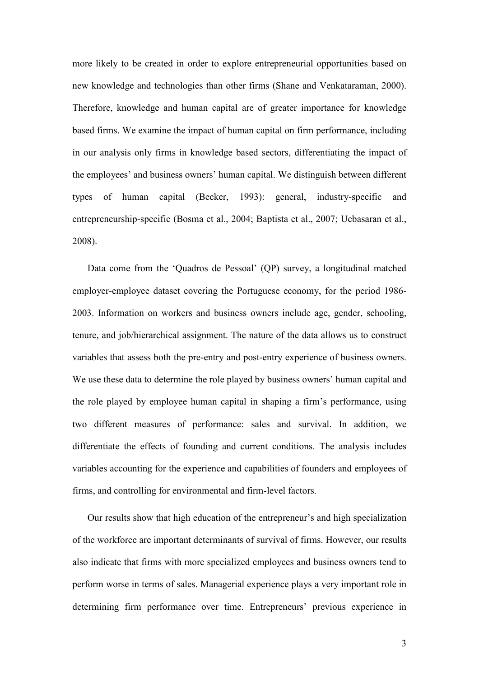more likely to be created in order to explore entrepreneurial opportunities based on new knowledge and technologies than other firms (Shane and Venkataraman, 2000). Therefore, knowledge and human capital are of greater importance for knowledge based firms. We examine the impact of human capital on firm performance, including in our analysis only firms in knowledge based sectors, differentiating the impact of the employees' and business owners' human capital. We distinguish between different types of human capital (Becker, 1993): general, industry-specific and entrepreneurship-specific (Bosma et al., 2004; Baptista et al., 2007; Ucbasaran et al., 2008).

Data come from the 'Quadros de Pessoal' (QP) survey, a longitudinal matched employer-employee dataset covering the Portuguese economy, for the period 1986- 2003. Information on workers and business owners include age, gender, schooling, tenure, and job/hierarchical assignment. The nature of the data allows us to construct variables that assess both the pre-entry and post-entry experience of business owners. We use these data to determine the role played by business owners' human capital and the role played by employee human capital in shaping a firm's performance, using two different measures of performance: sales and survival. In addition, we differentiate the effects of founding and current conditions. The analysis includes variables accounting for the experience and capabilities of founders and employees of firms, and controlling for environmental and firm-level factors.

Our results show that high education of the entrepreneur's and high specialization of the workforce are important determinants of survival of firms. However, our results also indicate that firms with more specialized employees and business owners tend to perform worse in terms of sales. Managerial experience plays a very important role in determining firm performance over time. Entrepreneurs' previous experience in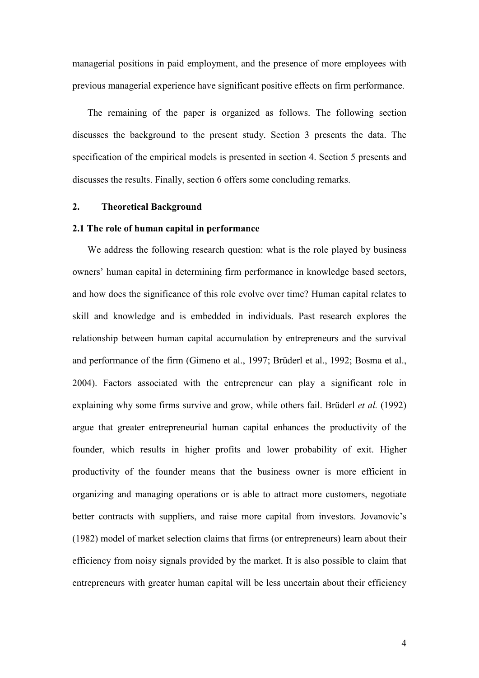managerial positions in paid employment, and the presence of more employees with previous managerial experience have significant positive effects on firm performance.

The remaining of the paper is organized as follows. The following section discusses the background to the present study. Section 3 presents the data. The specification of the empirical models is presented in section 4. Section 5 presents and discusses the results. Finally, section 6 offers some concluding remarks.

### **2. Theoretical Background**

#### **2.1 The role of human capital in performance**

We address the following research question: what is the role played by business owners' human capital in determining firm performance in knowledge based sectors, and how does the significance of this role evolve over time? Human capital relates to skill and knowledge and is embedded in individuals. Past research explores the relationship between human capital accumulation by entrepreneurs and the survival and performance of the firm (Gimeno et al., 1997; Brüderl et al., 1992; Bosma et al., 2004). Factors associated with the entrepreneur can play a significant role in explaining why some firms survive and grow, while others fail. Brüderl *et al.* (1992) argue that greater entrepreneurial human capital enhances the productivity of the founder, which results in higher profits and lower probability of exit. Higher productivity of the founder means that the business owner is more efficient in organizing and managing operations or is able to attract more customers, negotiate better contracts with suppliers, and raise more capital from investors. Jovanovic's (1982) model of market selection claims that firms (or entrepreneurs) learn about their efficiency from noisy signals provided by the market. It is also possible to claim that entrepreneurs with greater human capital will be less uncertain about their efficiency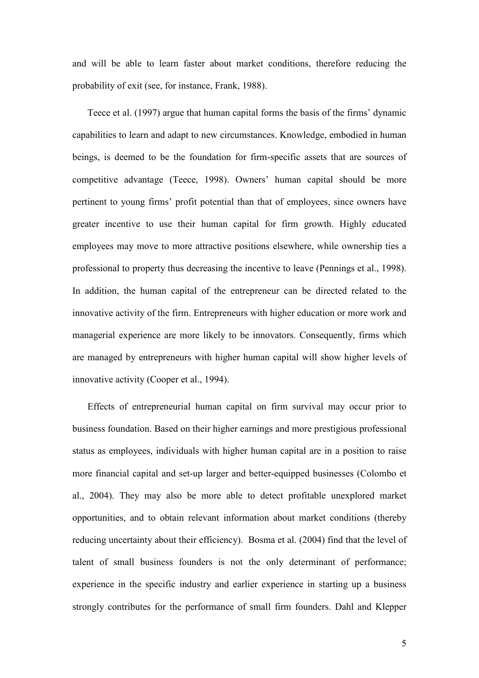and will be able to learn faster about market conditions, therefore reducing the probability of exit (see, for instance, Frank, 1988).

Teece et al. (1997) argue that human capital forms the basis of the firms' dynamic capabilities to learn and adapt to new circumstances. Knowledge, embodied in human beings, is deemed to be the foundation for firm-specific assets that are sources of competitive advantage (Teece, 1998). Owners' human capital should be more pertinent to young firms' profit potential than that of employees, since owners have greater incentive to use their human capital for firm growth. Highly educated employees may move to more attractive positions elsewhere, while ownership ties a professional to property thus decreasing the incentive to leave (Pennings et al., 1998). In addition, the human capital of the entrepreneur can be directed related to the innovative activity of the firm. Entrepreneurs with higher education or more work and managerial experience are more likely to be innovators. Consequently, firms which are managed by entrepreneurs with higher human capital will show higher levels of innovative activity (Cooper et al., 1994).

Effects of entrepreneurial human capital on firm survival may occur prior to business foundation. Based on their higher earnings and more prestigious professional status as employees, individuals with higher human capital are in a position to raise more financial capital and set-up larger and better-equipped businesses (Colombo et al., 2004). They may also be more able to detect profitable unexplored market opportunities, and to obtain relevant information about market conditions (thereby reducing uncertainty about their efficiency). Bosma et al. (2004) find that the level of talent of small business founders is not the only determinant of performance; experience in the specific industry and earlier experience in starting up a business strongly contributes for the performance of small firm founders. Dahl and Klepper

5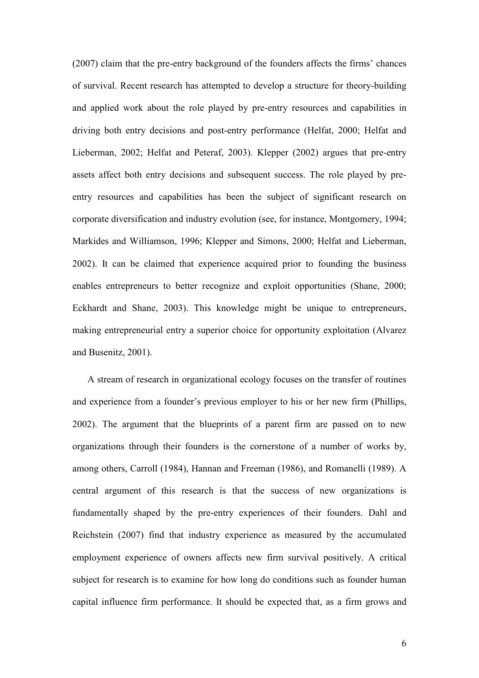(2007) claim that the pre-entry background of the founders affects the firms' chances of survival. Recent research has attempted to develop a structure for theory-building and applied work about the role played by pre-entry resources and capabilities in driving both entry decisions and post-entry performance (Helfat, 2000; Helfat and Lieberman, 2002; Helfat and Peteraf, 2003). Klepper (2002) argues that pre-entry assets affect both entry decisions and subsequent success. The role played by preentry resources and capabilities has been the subject of significant research on corporate diversification and industry evolution (see, for instance, Montgomery, 1994; Markides and Williamson, 1996; Klepper and Simons, 2000; Helfat and Lieberman, 2002). It can be claimed that experience acquired prior to founding the business enables entrepreneurs to better recognize and exploit opportunities (Shane, 2000; Eckhardt and Shane, 2003). This knowledge might be unique to entrepreneurs, making entrepreneurial entry a superior choice for opportunity exploitation (Alvarez and Busenitz, 2001).

A stream of research in organizational ecology focuses on the transfer of routines and experience from a founder's previous employer to his or her new firm (Phillips, 2002). The argument that the blueprints of a parent firm are passed on to new organizations through their founders is the cornerstone of a number of works by, among others, Carroll (1984), Hannan and Freeman (1986), and Romanelli (1989). A central argument of this research is that the success of new organizations is fundamentally shaped by the pre-entry experiences of their founders. Dahl and Reichstein (2007) find that industry experience as measured by the accumulated employment experience of owners affects new firm survival positively. A critical subject for research is to examine for how long do conditions such as founder human capital influence firm performance. It should be expected that, as a firm grows and

6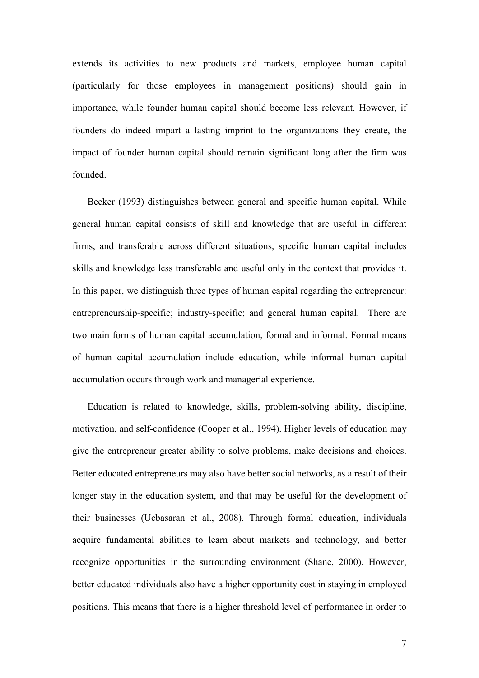extends its activities to new products and markets, employee human capital (particularly for those employees in management positions) should gain in importance, while founder human capital should become less relevant. However, if founders do indeed impart a lasting imprint to the organizations they create, the impact of founder human capital should remain significant long after the firm was founded.

Becker (1993) distinguishes between general and specific human capital. While general human capital consists of skill and knowledge that are useful in different firms, and transferable across different situations, specific human capital includes skills and knowledge less transferable and useful only in the context that provides it. In this paper, we distinguish three types of human capital regarding the entrepreneur: entrepreneurship-specific; industry-specific; and general human capital. There are two main forms of human capital accumulation, formal and informal. Formal means of human capital accumulation include education, while informal human capital accumulation occurs through work and managerial experience.

Education is related to knowledge, skills, problem-solving ability, discipline, motivation, and self-confidence (Cooper et al., 1994). Higher levels of education may give the entrepreneur greater ability to solve problems, make decisions and choices. Better educated entrepreneurs may also have better social networks, as a result of their longer stay in the education system, and that may be useful for the development of their businesses (Ucbasaran et al., 2008). Through formal education, individuals acquire fundamental abilities to learn about markets and technology, and better recognize opportunities in the surrounding environment (Shane, 2000). However, better educated individuals also have a higher opportunity cost in staying in employed positions. This means that there is a higher threshold level of performance in order to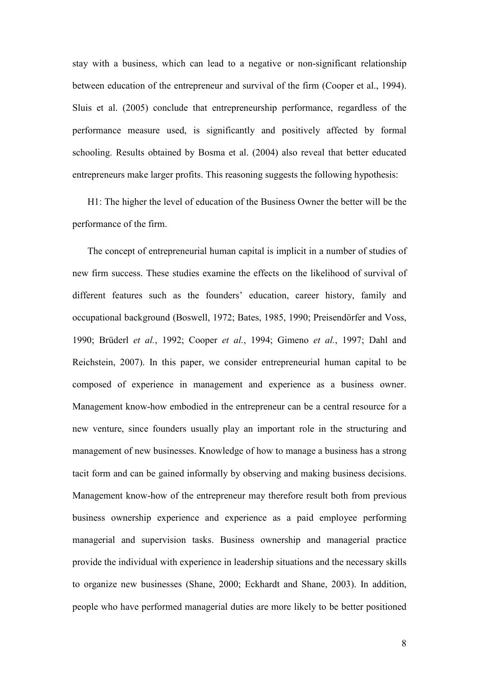stay with a business, which can lead to a negative or non-significant relationship between education of the entrepreneur and survival of the firm (Cooper et al., 1994). Sluis et al. (2005) conclude that entrepreneurship performance, regardless of the performance measure used, is significantly and positively affected by formal schooling. Results obtained by Bosma et al. (2004) also reveal that better educated entrepreneurs make larger profits. This reasoning suggests the following hypothesis:

H1: The higher the level of education of the Business Owner the better will be the performance of the firm.

The concept of entrepreneurial human capital is implicit in a number of studies of new firm success. These studies examine the effects on the likelihood of survival of different features such as the founders' education, career history, family and occupational background (Boswell, 1972; Bates, 1985, 1990; Preisendörfer and Voss, 1990; Brüderl *et al.*, 1992; Cooper *et al.*, 1994; Gimeno *et al.*, 1997; Dahl and Reichstein, 2007). In this paper, we consider entrepreneurial human capital to be composed of experience in management and experience as a business owner. Management know-how embodied in the entrepreneur can be a central resource for a new venture, since founders usually play an important role in the structuring and management of new businesses. Knowledge of how to manage a business has a strong tacit form and can be gained informally by observing and making business decisions. Management know-how of the entrepreneur may therefore result both from previous business ownership experience and experience as a paid employee performing managerial and supervision tasks. Business ownership and managerial practice provide the individual with experience in leadership situations and the necessary skills to organize new businesses (Shane, 2000; Eckhardt and Shane, 2003). In addition, people who have performed managerial duties are more likely to be better positioned

8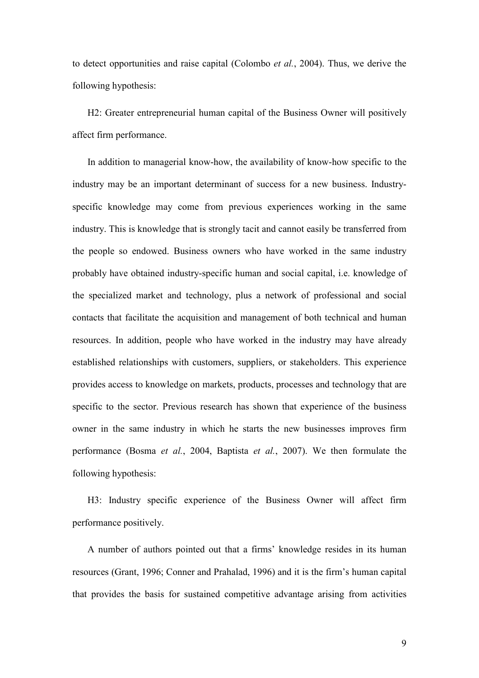to detect opportunities and raise capital (Colombo *et al.*, 2004). Thus, we derive the following hypothesis:

H2: Greater entrepreneurial human capital of the Business Owner will positively affect firm performance.

In addition to managerial know-how, the availability of know-how specific to the industry may be an important determinant of success for a new business. Industryspecific knowledge may come from previous experiences working in the same industry. This is knowledge that is strongly tacit and cannot easily be transferred from the people so endowed. Business owners who have worked in the same industry probably have obtained industry-specific human and social capital, i.e. knowledge of the specialized market and technology, plus a network of professional and social contacts that facilitate the acquisition and management of both technical and human resources. In addition, people who have worked in the industry may have already established relationships with customers, suppliers, or stakeholders. This experience provides access to knowledge on markets, products, processes and technology that are specific to the sector. Previous research has shown that experience of the business owner in the same industry in which he starts the new businesses improves firm performance (Bosma *et al.*, 2004, Baptista *et al.*, 2007). We then formulate the following hypothesis:

H3: Industry specific experience of the Business Owner will affect firm performance positively.

A number of authors pointed out that a firms' knowledge resides in its human resources (Grant, 1996; Conner and Prahalad, 1996) and it is the firm's human capital that provides the basis for sustained competitive advantage arising from activities

9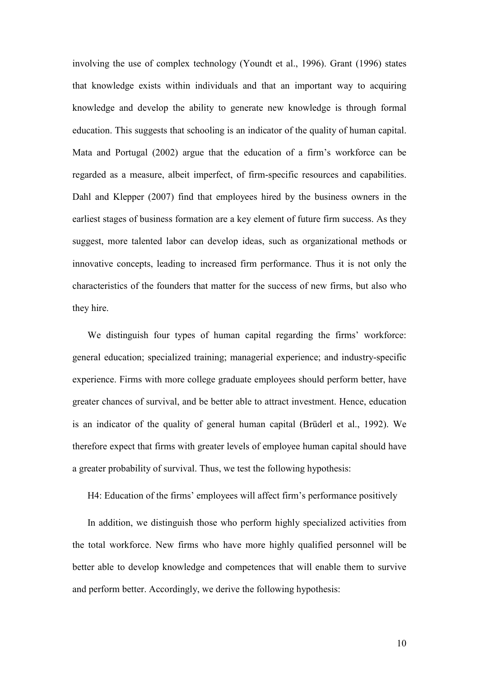involving the use of complex technology (Youndt et al., 1996). Grant (1996) states that knowledge exists within individuals and that an important way to acquiring knowledge and develop the ability to generate new knowledge is through formal education. This suggests that schooling is an indicator of the quality of human capital. Mata and Portugal (2002) argue that the education of a firm's workforce can be regarded as a measure, albeit imperfect, of firm-specific resources and capabilities. Dahl and Klepper (2007) find that employees hired by the business owners in the earliest stages of business formation are a key element of future firm success. As they suggest, more talented labor can develop ideas, such as organizational methods or innovative concepts, leading to increased firm performance. Thus it is not only the characteristics of the founders that matter for the success of new firms, but also who they hire.

We distinguish four types of human capital regarding the firms' workforce: general education; specialized training; managerial experience; and industry-specific experience. Firms with more college graduate employees should perform better, have greater chances of survival, and be better able to attract investment. Hence, education is an indicator of the quality of general human capital (Brüderl et al., 1992). We therefore expect that firms with greater levels of employee human capital should have a greater probability of survival. Thus, we test the following hypothesis:

H4: Education of the firms' employees will affect firm's performance positively

In addition, we distinguish those who perform highly specialized activities from the total workforce. New firms who have more highly qualified personnel will be better able to develop knowledge and competences that will enable them to survive and perform better. Accordingly, we derive the following hypothesis: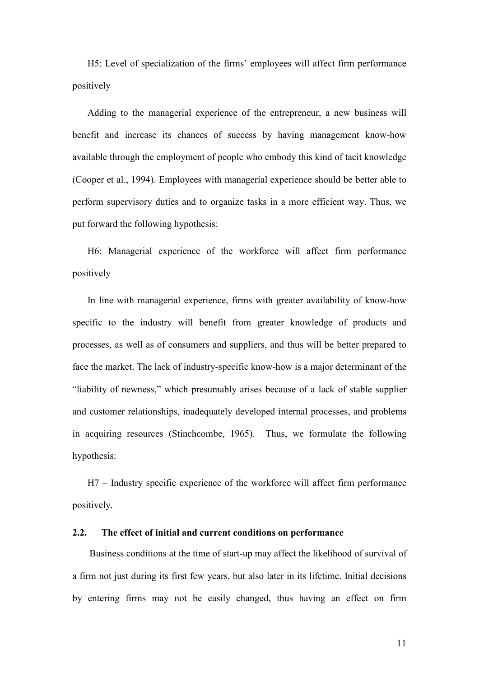H5: Level of specialization of the firms' employees will affect firm performance positively

Adding to the managerial experience of the entrepreneur, a new business will benefit and increase its chances of success by having management know-how available through the employment of people who embody this kind of tacit knowledge (Cooper et al., 1994). Employees with managerial experience should be better able to perform supervisory duties and to organize tasks in a more efficient way. Thus, we put forward the following hypothesis:

H6: Managerial experience of the workforce will affect firm performance positively

In line with managerial experience, firms with greater availability of know-how specific to the industry will benefit from greater knowledge of products and processes, as well as of consumers and suppliers, and thus will be better prepared to face the market. The lack of industry-specific know-how is a major determinant of the "liability of newness," which presumably arises because of a lack of stable supplier and customer relationships, inadequately developed internal processes, and problems in acquiring resources (Stinchcombe, 1965). Thus, we formulate the following hypothesis:

H7 – Industry specific experience of the workforce will affect firm performance positively.

### **2.2. The effect of initial and current conditions on performance**

Business conditions at the time of start-up may affect the likelihood of survival of a firm not just during its first few years, but also later in its lifetime. Initial decisions by entering firms may not be easily changed, thus having an effect on firm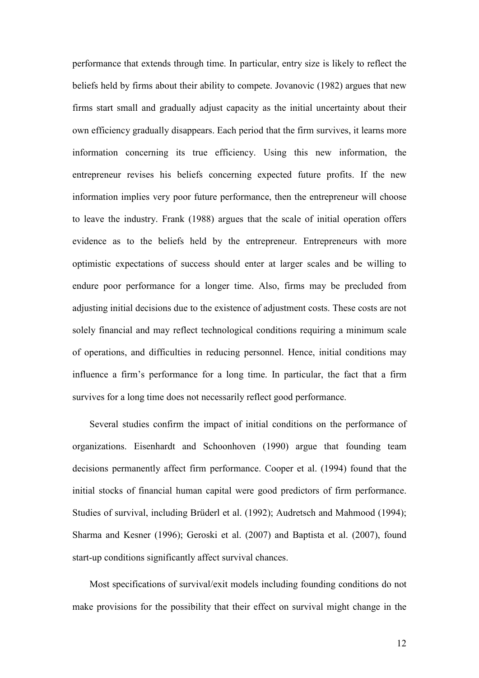performance that extends through time. In particular, entry size is likely to reflect the beliefs held by firms about their ability to compete. Jovanovic (1982) argues that new firms start small and gradually adjust capacity as the initial uncertainty about their own efficiency gradually disappears. Each period that the firm survives, it learns more information concerning its true efficiency. Using this new information, the entrepreneur revises his beliefs concerning expected future profits. If the new information implies very poor future performance, then the entrepreneur will choose to leave the industry. Frank (1988) argues that the scale of initial operation offers evidence as to the beliefs held by the entrepreneur. Entrepreneurs with more optimistic expectations of success should enter at larger scales and be willing to endure poor performance for a longer time. Also, firms may be precluded from adjusting initial decisions due to the existence of adjustment costs. These costs are not solely financial and may reflect technological conditions requiring a minimum scale of operations, and difficulties in reducing personnel. Hence, initial conditions may influence a firm's performance for a long time. In particular, the fact that a firm survives for a long time does not necessarily reflect good performance.

Several studies confirm the impact of initial conditions on the performance of organizations. Eisenhardt and Schoonhoven (1990) argue that founding team decisions permanently affect firm performance. Cooper et al. (1994) found that the initial stocks of financial human capital were good predictors of firm performance. Studies of survival, including Brüderl et al. (1992); Audretsch and Mahmood (1994); Sharma and Kesner (1996); Geroski et al. (2007) and Baptista et al. (2007), found start-up conditions significantly affect survival chances.

Most specifications of survival/exit models including founding conditions do not make provisions for the possibility that their effect on survival might change in the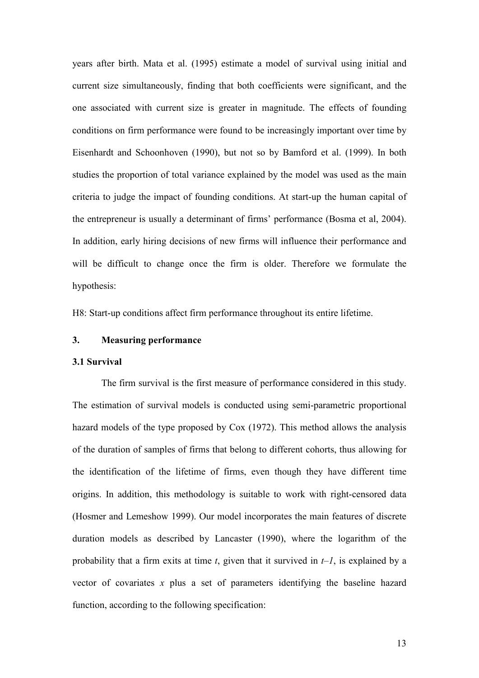years after birth. Mata et al. (1995) estimate a model of survival using initial and current size simultaneously, finding that both coefficients were significant, and the one associated with current size is greater in magnitude. The effects of founding conditions on firm performance were found to be increasingly important over time by Eisenhardt and Schoonhoven (1990), but not so by Bamford et al. (1999). In both studies the proportion of total variance explained by the model was used as the main criteria to judge the impact of founding conditions. At start-up the human capital of the entrepreneur is usually a determinant of firms' performance (Bosma et al, 2004). In addition, early hiring decisions of new firms will influence their performance and will be difficult to change once the firm is older. Therefore we formulate the hypothesis:

H8: Start-up conditions affect firm performance throughout its entire lifetime.

## **3. Measuring performance**

#### **3.1 Survival**

The firm survival is the first measure of performance considered in this study. The estimation of survival models is conducted using semi-parametric proportional hazard models of the type proposed by Cox (1972). This method allows the analysis of the duration of samples of firms that belong to different cohorts, thus allowing for the identification of the lifetime of firms, even though they have different time origins. In addition, this methodology is suitable to work with right-censored data (Hosmer and Lemeshow 1999). Our model incorporates the main features of discrete duration models as described by Lancaster (1990), where the logarithm of the probability that a firm exits at time  $t$ , given that it survived in  $t-1$ , is explained by a vector of covariates *x* plus a set of parameters identifying the baseline hazard function, according to the following specification: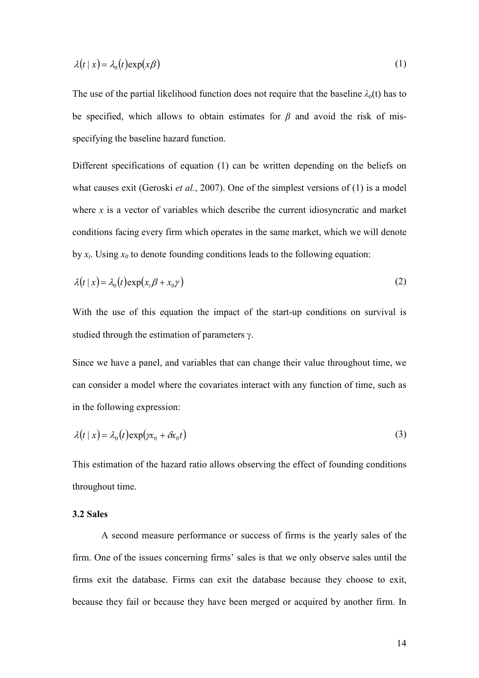$$
\lambda(t \mid x) = \lambda_0(t) \exp(x\beta) \tag{1}
$$

The use of the partial likelihood function does not require that the baseline  $\lambda_0(t)$  has to be specified, which allows to obtain estimates for *β* and avoid the risk of misspecifying the baseline hazard function.

Different specifications of equation (1) can be written depending on the beliefs on what causes exit (Geroski *et al.*, 2007). One of the simplest versions of (1) is a model where *x* is a vector of variables which describe the current idiosyncratic and market conditions facing every firm which operates in the same market, which we will denote by  $x_t$ . Using  $x_0$  to denote founding conditions leads to the following equation:

$$
\lambda(t \mid x) = \lambda_0(t) \exp(x_t \beta + x_0 \gamma) \tag{2}
$$

With the use of this equation the impact of the start-up conditions on survival is studied through the estimation of parameters γ.

Since we have a panel, and variables that can change their value throughout time, we can consider a model where the covariates interact with any function of time, such as in the following expression:

$$
\lambda(t \mid x) = \lambda_0(t) \exp(\gamma x_0 + \delta x_0 t) \tag{3}
$$

This estimation of the hazard ratio allows observing the effect of founding conditions throughout time.

#### **3.2 Sales**

A second measure performance or success of firms is the yearly sales of the firm. One of the issues concerning firms' sales is that we only observe sales until the firms exit the database. Firms can exit the database because they choose to exit, because they fail or because they have been merged or acquired by another firm. In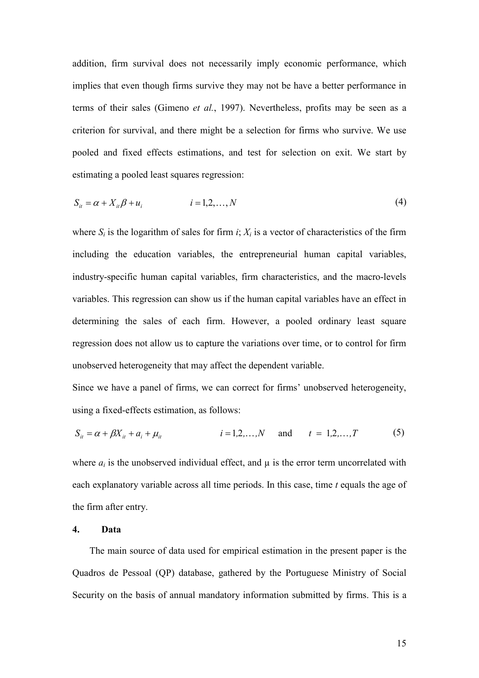addition, firm survival does not necessarily imply economic performance, which implies that even though firms survive they may not be have a better performance in terms of their sales (Gimeno *et al.*, 1997). Nevertheless, profits may be seen as a criterion for survival, and there might be a selection for firms who survive. We use pooled and fixed effects estimations, and test for selection on exit. We start by estimating a pooled least squares regression:

$$
S_{it} = \alpha + X_{it}\beta + u_i \qquad i = 1, 2, ..., N \qquad (4)
$$

where  $S_i$  is the logarithm of sales for firm  $i$ ;  $X_i$  is a vector of characteristics of the firm including the education variables, the entrepreneurial human capital variables, industry-specific human capital variables, firm characteristics, and the macro-levels variables. This regression can show us if the human capital variables have an effect in determining the sales of each firm. However, a pooled ordinary least square regression does not allow us to capture the variations over time, or to control for firm unobserved heterogeneity that may affect the dependent variable.

Since we have a panel of firms, we can correct for firms' unobserved heterogeneity, using a fixed-effects estimation, as follows:

$$
S_{it} = \alpha + \beta X_{it} + a_i + \mu_{it} \qquad i = 1, 2, ..., N \qquad \text{and} \qquad t = 1, 2, ..., T \qquad (5)
$$

where  $a_i$  is the unobserved individual effect, and  $\mu$  is the error term uncorrelated with each explanatory variable across all time periods. In this case, time *t* equals the age of the firm after entry.

#### **4. Data**

The main source of data used for empirical estimation in the present paper is the Quadros de Pessoal (QP) database, gathered by the Portuguese Ministry of Social Security on the basis of annual mandatory information submitted by firms. This is a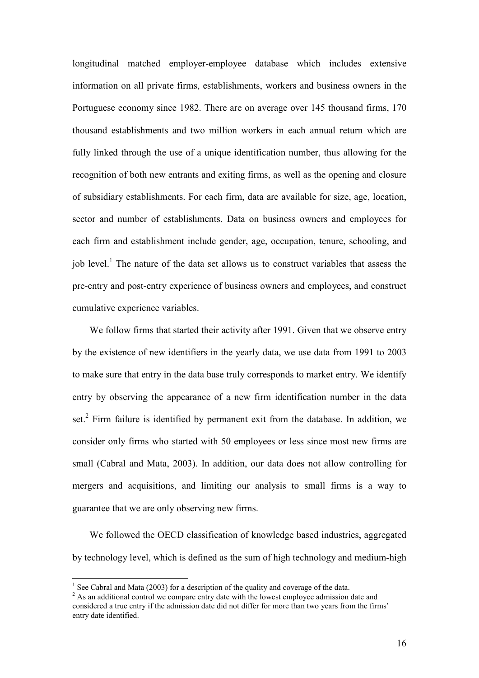longitudinal matched employer-employee database which includes extensive information on all private firms, establishments, workers and business owners in the Portuguese economy since 1982. There are on average over 145 thousand firms, 170 thousand establishments and two million workers in each annual return which are fully linked through the use of a unique identification number, thus allowing for the recognition of both new entrants and exiting firms, as well as the opening and closure of subsidiary establishments. For each firm, data are available for size, age, location, sector and number of establishments. Data on business owners and employees for each firm and establishment include gender, age, occupation, tenure, schooling, and job level.<sup>1</sup> The nature of the data set allows us to construct variables that assess the pre-entry and post-entry experience of business owners and employees, and construct cumulative experience variables.

We follow firms that started their activity after 1991. Given that we observe entry by the existence of new identifiers in the yearly data, we use data from 1991 to 2003 to make sure that entry in the data base truly corresponds to market entry. We identify entry by observing the appearance of a new firm identification number in the data set.<sup>2</sup> Firm failure is identified by permanent exit from the database. In addition, we consider only firms who started with 50 employees or less since most new firms are small (Cabral and Mata, 2003). In addition, our data does not allow controlling for mergers and acquisitions, and limiting our analysis to small firms is a way to guarantee that we are only observing new firms.

We followed the OECD classification of knowledge based industries, aggregated by technology level, which is defined as the sum of high technology and medium-high

-

<sup>&</sup>lt;sup>1</sup> See Cabral and Mata (2003) for a description of the quality and coverage of the data.

 $2$  As an additional control we compare entry date with the lowest employee admission date and considered a true entry if the admission date did not differ for more than two years from the firms' entry date identified.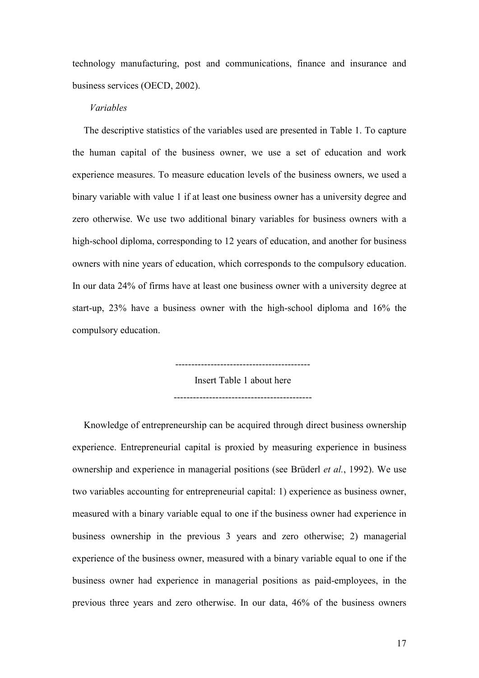technology manufacturing, post and communications, finance and insurance and business services (OECD, 2002).

#### *Variables*

The descriptive statistics of the variables used are presented in Table 1. To capture the human capital of the business owner, we use a set of education and work experience measures. To measure education levels of the business owners, we used a binary variable with value 1 if at least one business owner has a university degree and zero otherwise. We use two additional binary variables for business owners with a high-school diploma, corresponding to 12 years of education, and another for business owners with nine years of education, which corresponds to the compulsory education. In our data 24% of firms have at least one business owner with a university degree at start-up, 23% have a business owner with the high-school diploma and 16% the compulsory education.

> ------------------------------------------ Insert Table 1 about here -------------------------------------------

Knowledge of entrepreneurship can be acquired through direct business ownership experience. Entrepreneurial capital is proxied by measuring experience in business ownership and experience in managerial positions (see Brüderl *et al.*, 1992). We use two variables accounting for entrepreneurial capital: 1) experience as business owner, measured with a binary variable equal to one if the business owner had experience in business ownership in the previous 3 years and zero otherwise; 2) managerial experience of the business owner, measured with a binary variable equal to one if the business owner had experience in managerial positions as paid-employees, in the previous three years and zero otherwise. In our data, 46% of the business owners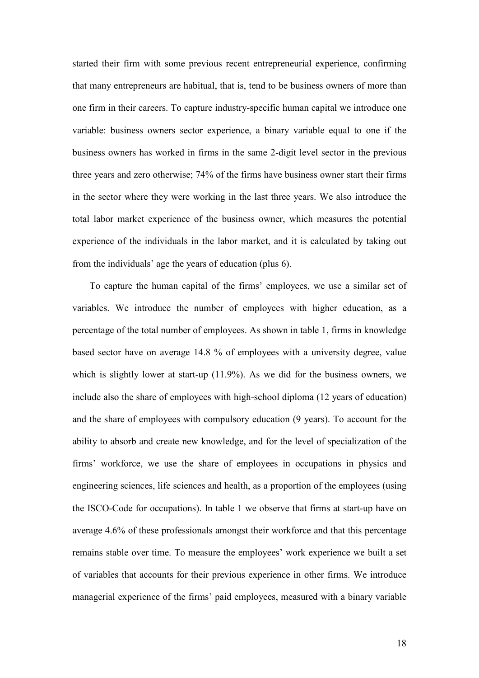started their firm with some previous recent entrepreneurial experience, confirming that many entrepreneurs are habitual, that is, tend to be business owners of more than one firm in their careers. To capture industry-specific human capital we introduce one variable: business owners sector experience, a binary variable equal to one if the business owners has worked in firms in the same 2-digit level sector in the previous three years and zero otherwise; 74% of the firms have business owner start their firms in the sector where they were working in the last three years. We also introduce the total labor market experience of the business owner, which measures the potential experience of the individuals in the labor market, and it is calculated by taking out from the individuals' age the years of education (plus 6).

To capture the human capital of the firms' employees, we use a similar set of variables. We introduce the number of employees with higher education, as a percentage of the total number of employees. As shown in table 1, firms in knowledge based sector have on average 14.8 % of employees with a university degree, value which is slightly lower at start-up  $(11.9\%)$ . As we did for the business owners, we include also the share of employees with high-school diploma (12 years of education) and the share of employees with compulsory education (9 years). To account for the ability to absorb and create new knowledge, and for the level of specialization of the firms' workforce, we use the share of employees in occupations in physics and engineering sciences, life sciences and health, as a proportion of the employees (using the ISCO-Code for occupations). In table 1 we observe that firms at start-up have on average 4.6% of these professionals amongst their workforce and that this percentage remains stable over time. To measure the employees' work experience we built a set of variables that accounts for their previous experience in other firms. We introduce managerial experience of the firms' paid employees, measured with a binary variable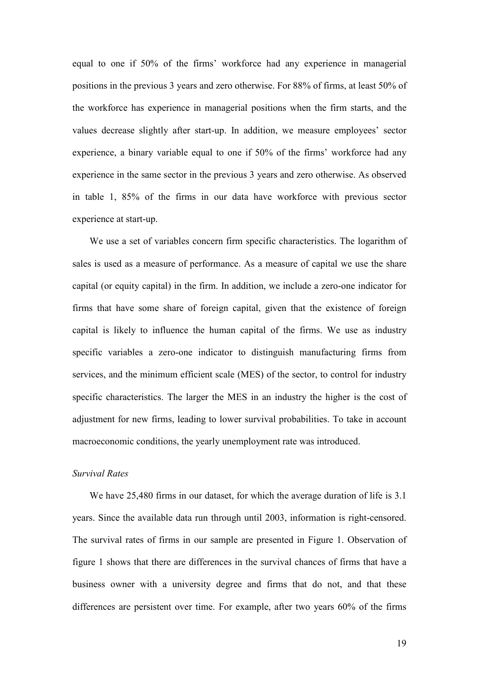equal to one if 50% of the firms' workforce had any experience in managerial positions in the previous 3 years and zero otherwise. For 88% of firms, at least 50% of the workforce has experience in managerial positions when the firm starts, and the values decrease slightly after start-up. In addition, we measure employees' sector experience, a binary variable equal to one if 50% of the firms' workforce had any experience in the same sector in the previous 3 years and zero otherwise. As observed in table 1, 85% of the firms in our data have workforce with previous sector experience at start-up.

We use a set of variables concern firm specific characteristics. The logarithm of sales is used as a measure of performance. As a measure of capital we use the share capital (or equity capital) in the firm. In addition, we include a zero-one indicator for firms that have some share of foreign capital, given that the existence of foreign capital is likely to influence the human capital of the firms. We use as industry specific variables a zero-one indicator to distinguish manufacturing firms from services, and the minimum efficient scale (MES) of the sector, to control for industry specific characteristics. The larger the MES in an industry the higher is the cost of adjustment for new firms, leading to lower survival probabilities. To take in account macroeconomic conditions, the yearly unemployment rate was introduced.

## *Survival Rates*

We have 25,480 firms in our dataset, for which the average duration of life is 3.1 years. Since the available data run through until 2003, information is right-censored. The survival rates of firms in our sample are presented in Figure 1. Observation of figure 1 shows that there are differences in the survival chances of firms that have a business owner with a university degree and firms that do not, and that these differences are persistent over time. For example, after two years 60% of the firms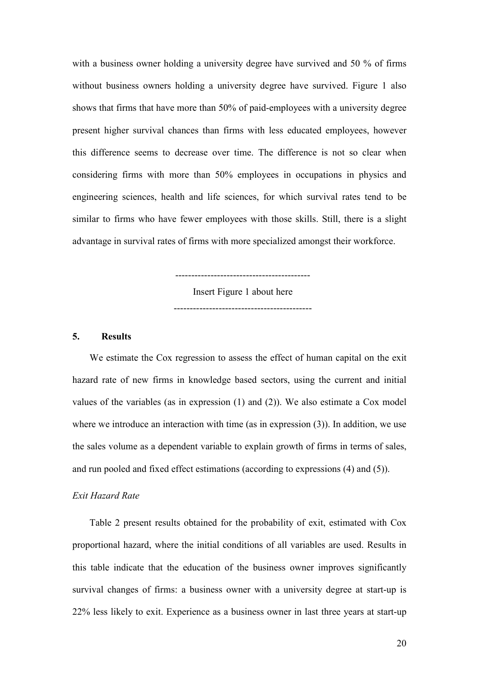with a business owner holding a university degree have survived and 50 % of firms without business owners holding a university degree have survived. Figure 1 also shows that firms that have more than 50% of paid-employees with a university degree present higher survival chances than firms with less educated employees, however this difference seems to decrease over time. The difference is not so clear when considering firms with more than 50% employees in occupations in physics and engineering sciences, health and life sciences, for which survival rates tend to be similar to firms who have fewer employees with those skills. Still, there is a slight advantage in survival rates of firms with more specialized amongst their workforce.

Insert Figure 1 about here

-------------------------------------------

------------------------------------------

#### **5. Results**

We estimate the Cox regression to assess the effect of human capital on the exit hazard rate of new firms in knowledge based sectors, using the current and initial values of the variables (as in expression (1) and (2)). We also estimate a Cox model where we introduce an interaction with time (as in expression (3)). In addition, we use the sales volume as a dependent variable to explain growth of firms in terms of sales, and run pooled and fixed effect estimations (according to expressions (4) and (5)).

#### *Exit Hazard Rate*

Table 2 present results obtained for the probability of exit, estimated with Cox proportional hazard, where the initial conditions of all variables are used. Results in this table indicate that the education of the business owner improves significantly survival changes of firms: a business owner with a university degree at start-up is 22% less likely to exit. Experience as a business owner in last three years at start-up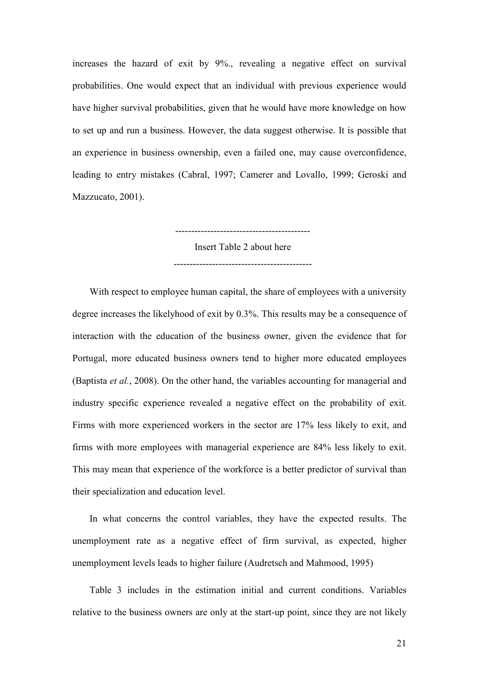increases the hazard of exit by 9%., revealing a negative effect on survival probabilities. One would expect that an individual with previous experience would have higher survival probabilities, given that he would have more knowledge on how to set up and run a business. However, the data suggest otherwise. It is possible that an experience in business ownership, even a failed one, may cause overconfidence, leading to entry mistakes (Cabral, 1997; Camerer and Lovallo, 1999; Geroski and Mazzucato, 2001).

> ------------------------------------------ Insert Table 2 about here -------------------------------------------

With respect to employee human capital, the share of employees with a university degree increases the likelyhood of exit by 0.3%. This results may be a consequence of interaction with the education of the business owner, given the evidence that for Portugal, more educated business owners tend to higher more educated employees (Baptista *et al.*, 2008). On the other hand, the variables accounting for managerial and industry specific experience revealed a negative effect on the probability of exit. Firms with more experienced workers in the sector are 17% less likely to exit, and firms with more employees with managerial experience are 84% less likely to exit. This may mean that experience of the workforce is a better predictor of survival than their specialization and education level.

In what concerns the control variables, they have the expected results. The unemployment rate as a negative effect of firm survival, as expected, higher unemployment levels leads to higher failure (Audretsch and Mahmood, 1995)

Table 3 includes in the estimation initial and current conditions. Variables relative to the business owners are only at the start-up point, since they are not likely

21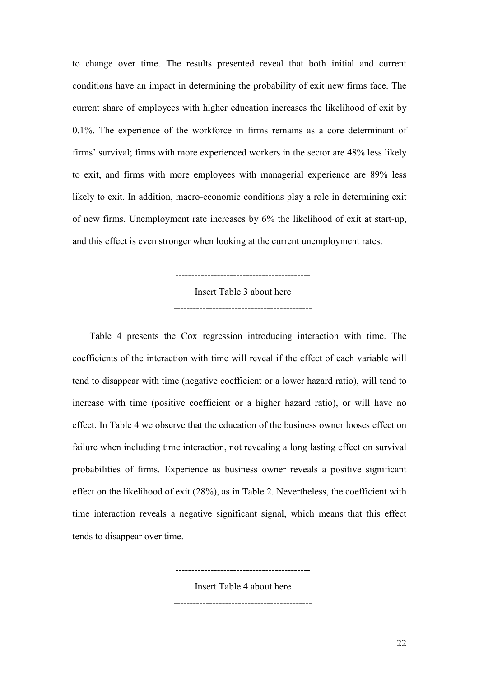to change over time. The results presented reveal that both initial and current conditions have an impact in determining the probability of exit new firms face. The current share of employees with higher education increases the likelihood of exit by 0.1%. The experience of the workforce in firms remains as a core determinant of firms' survival; firms with more experienced workers in the sector are 48% less likely to exit, and firms with more employees with managerial experience are 89% less likely to exit. In addition, macro-economic conditions play a role in determining exit of new firms. Unemployment rate increases by 6% the likelihood of exit at start-up, and this effect is even stronger when looking at the current unemployment rates.

Insert Table 3 about here

-------------------------------------------

------------------------------------------

Table 4 presents the Cox regression introducing interaction with time. The coefficients of the interaction with time will reveal if the effect of each variable will tend to disappear with time (negative coefficient or a lower hazard ratio), will tend to increase with time (positive coefficient or a higher hazard ratio), or will have no effect. In Table 4 we observe that the education of the business owner looses effect on failure when including time interaction, not revealing a long lasting effect on survival probabilities of firms. Experience as business owner reveals a positive significant effect on the likelihood of exit (28%), as in Table 2. Nevertheless, the coefficient with time interaction reveals a negative significant signal, which means that this effect tends to disappear over time.

> ------------------------------------------ Insert Table 4 about here -------------------------------------------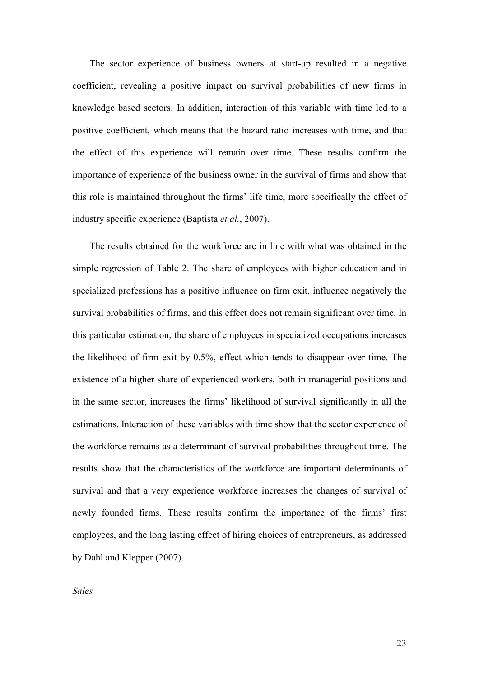The sector experience of business owners at start-up resulted in a negative coefficient, revealing a positive impact on survival probabilities of new firms in knowledge based sectors. In addition, interaction of this variable with time led to a positive coefficient, which means that the hazard ratio increases with time, and that the effect of this experience will remain over time. These results confirm the importance of experience of the business owner in the survival of firms and show that this role is maintained throughout the firms' life time, more specifically the effect of industry specific experience (Baptista *et al.*, 2007).

The results obtained for the workforce are in line with what was obtained in the simple regression of Table 2. The share of employees with higher education and in specialized professions has a positive influence on firm exit, influence negatively the survival probabilities of firms, and this effect does not remain significant over time. In this particular estimation, the share of employees in specialized occupations increases the likelihood of firm exit by 0.5%, effect which tends to disappear over time. The existence of a higher share of experienced workers, both in managerial positions and in the same sector, increases the firms' likelihood of survival significantly in all the estimations. Interaction of these variables with time show that the sector experience of the workforce remains as a determinant of survival probabilities throughout time. The results show that the characteristics of the workforce are important determinants of survival and that a very experience workforce increases the changes of survival of newly founded firms. These results confirm the importance of the firms' first employees, and the long lasting effect of hiring choices of entrepreneurs, as addressed by Dahl and Klepper (2007).

*Sales*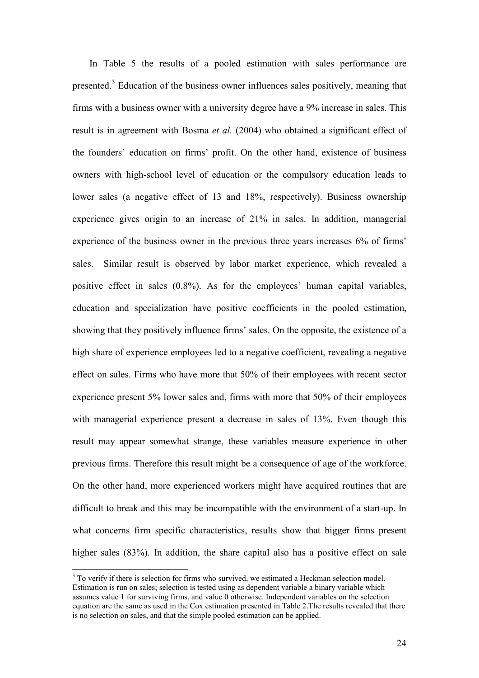In Table 5 the results of a pooled estimation with sales performance are presented.<sup>3</sup> Education of the business owner influences sales positively, meaning that firms with a business owner with a university degree have a 9% increase in sales. This result is in agreement with Bosma *et al.* (2004) who obtained a significant effect of the founders' education on firms' profit. On the other hand, existence of business owners with high-school level of education or the compulsory education leads to lower sales (a negative effect of 13 and 18%, respectively). Business ownership experience gives origin to an increase of 21% in sales. In addition, managerial experience of the business owner in the previous three years increases 6% of firms' sales. Similar result is observed by labor market experience, which revealed a positive effect in sales (0.8%). As for the employees' human capital variables, education and specialization have positive coefficients in the pooled estimation, showing that they positively influence firms' sales. On the opposite, the existence of a high share of experience employees led to a negative coefficient, revealing a negative effect on sales. Firms who have more that 50% of their employees with recent sector experience present 5% lower sales and, firms with more that 50% of their employees with managerial experience present a decrease in sales of 13%. Even though this result may appear somewhat strange, these variables measure experience in other previous firms. Therefore this result might be a consequence of age of the workforce. On the other hand, more experienced workers might have acquired routines that are difficult to break and this may be incompatible with the environment of a start-up. In what concerns firm specific characteristics, results show that bigger firms present higher sales (83%). In addition, the share capital also has a positive effect on sale

-

<sup>&</sup>lt;sup>3</sup> To verify if there is selection for firms who survived, we estimated a Heckman selection model. Estimation is run on sales; selection is tested using as dependent variable a binary variable which assumes value 1 for surviving firms, and value 0 otherwise. Independent variables on the selection equation are the same as used in the Cox estimation presented in Table 2.The results revealed that there is no selection on sales, and that the simple pooled estimation can be applied.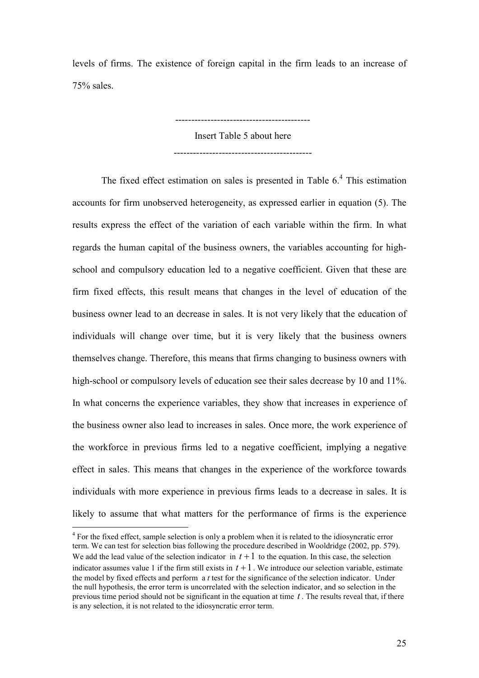levels of firms. The existence of foreign capital in the firm leads to an increase of 75% sales.

> Insert Table 5 about here -------------------------------------------

 $-$ 

The fixed effect estimation on sales is presented in Table  $6<sup>4</sup>$ . This estimation accounts for firm unobserved heterogeneity, as expressed earlier in equation (5). The results express the effect of the variation of each variable within the firm. In what regards the human capital of the business owners, the variables accounting for highschool and compulsory education led to a negative coefficient. Given that these are firm fixed effects, this result means that changes in the level of education of the business owner lead to an decrease in sales. It is not very likely that the education of individuals will change over time, but it is very likely that the business owners themselves change. Therefore, this means that firms changing to business owners with high-school or compulsory levels of education see their sales decrease by 10 and 11%. In what concerns the experience variables, they show that increases in experience of the business owner also lead to increases in sales. Once more, the work experience of the workforce in previous firms led to a negative coefficient, implying a negative effect in sales. This means that changes in the experience of the workforce towards individuals with more experience in previous firms leads to a decrease in sales. It is likely to assume that what matters for the performance of firms is the experience

<sup>&</sup>lt;sup>4</sup> For the fixed effect, sample selection is only a problem when it is related to the idiosyncratic error term. We can test for selection bias following the procedure described in Wooldridge (2002, pp. 579). We add the lead value of the selection indicator in  $t + 1$  to the equation. In this case, the selection indicator assumes value 1 if the firm still exists in  $t + 1$ . We introduce our selection variable, estimate the model by fixed effects and perform a *t* test for the significance of the selection indicator. Under the null hypothesis, the error term is uncorrelated with the selection indicator, and so selection in the previous time period should not be significant in the equation at time  $t$ . The results reveal that, if there is any selection, it is not related to the idiosyncratic error term.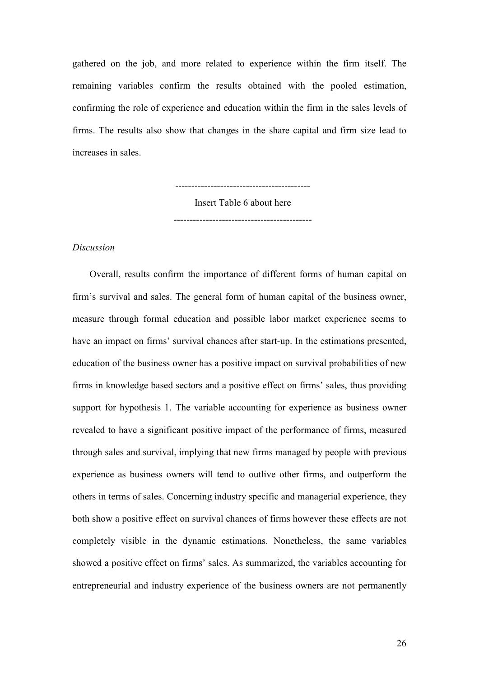gathered on the job, and more related to experience within the firm itself. The remaining variables confirm the results obtained with the pooled estimation, confirming the role of experience and education within the firm in the sales levels of firms. The results also show that changes in the share capital and firm size lead to increases in sales.

> ------------------------------------------ Insert Table 6 about here -------------------------------------------

#### *Discussion*

Overall, results confirm the importance of different forms of human capital on firm's survival and sales. The general form of human capital of the business owner, measure through formal education and possible labor market experience seems to have an impact on firms' survival chances after start-up. In the estimations presented, education of the business owner has a positive impact on survival probabilities of new firms in knowledge based sectors and a positive effect on firms' sales, thus providing support for hypothesis 1. The variable accounting for experience as business owner revealed to have a significant positive impact of the performance of firms, measured through sales and survival, implying that new firms managed by people with previous experience as business owners will tend to outlive other firms, and outperform the others in terms of sales. Concerning industry specific and managerial experience, they both show a positive effect on survival chances of firms however these effects are not completely visible in the dynamic estimations. Nonetheless, the same variables showed a positive effect on firms' sales. As summarized, the variables accounting for entrepreneurial and industry experience of the business owners are not permanently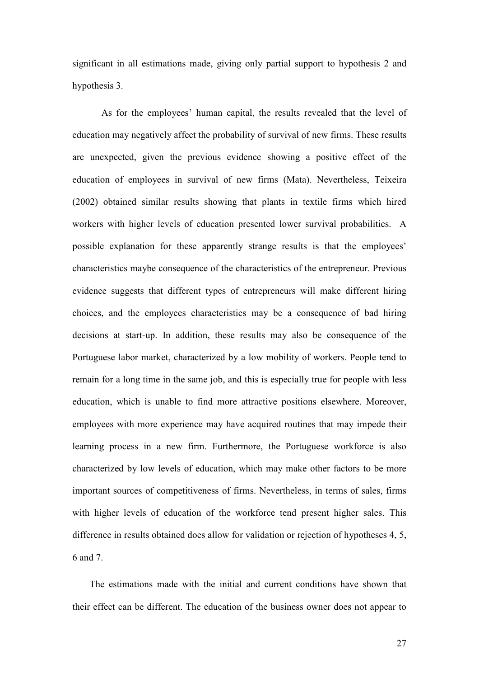significant in all estimations made, giving only partial support to hypothesis 2 and hypothesis 3.

As for the employees' human capital, the results revealed that the level of education may negatively affect the probability of survival of new firms. These results are unexpected, given the previous evidence showing a positive effect of the education of employees in survival of new firms (Mata). Nevertheless, Teixeira (2002) obtained similar results showing that plants in textile firms which hired workers with higher levels of education presented lower survival probabilities. A possible explanation for these apparently strange results is that the employees' characteristics maybe consequence of the characteristics of the entrepreneur. Previous evidence suggests that different types of entrepreneurs will make different hiring choices, and the employees characteristics may be a consequence of bad hiring decisions at start-up. In addition, these results may also be consequence of the Portuguese labor market, characterized by a low mobility of workers. People tend to remain for a long time in the same job, and this is especially true for people with less education, which is unable to find more attractive positions elsewhere. Moreover, employees with more experience may have acquired routines that may impede their learning process in a new firm. Furthermore, the Portuguese workforce is also characterized by low levels of education, which may make other factors to be more important sources of competitiveness of firms. Nevertheless, in terms of sales, firms with higher levels of education of the workforce tend present higher sales. This difference in results obtained does allow for validation or rejection of hypotheses 4, 5, 6 and 7.

The estimations made with the initial and current conditions have shown that their effect can be different. The education of the business owner does not appear to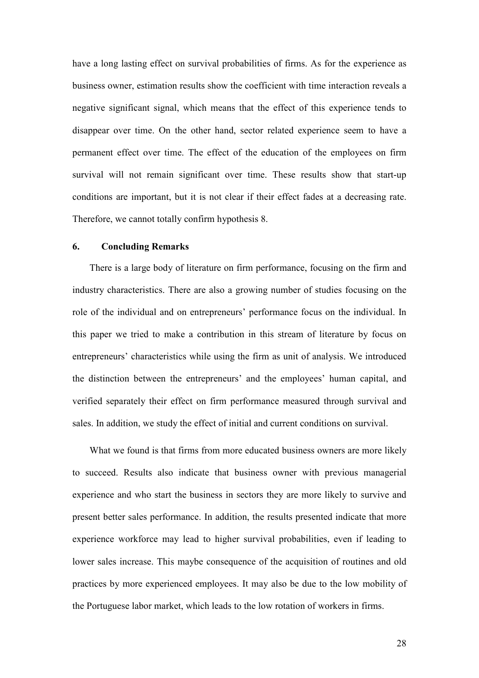have a long lasting effect on survival probabilities of firms. As for the experience as business owner, estimation results show the coefficient with time interaction reveals a negative significant signal, which means that the effect of this experience tends to disappear over time. On the other hand, sector related experience seem to have a permanent effect over time. The effect of the education of the employees on firm survival will not remain significant over time. These results show that start-up conditions are important, but it is not clear if their effect fades at a decreasing rate. Therefore, we cannot totally confirm hypothesis 8.

#### **6. Concluding Remarks**

There is a large body of literature on firm performance, focusing on the firm and industry characteristics. There are also a growing number of studies focusing on the role of the individual and on entrepreneurs' performance focus on the individual. In this paper we tried to make a contribution in this stream of literature by focus on entrepreneurs' characteristics while using the firm as unit of analysis. We introduced the distinction between the entrepreneurs' and the employees' human capital, and verified separately their effect on firm performance measured through survival and sales. In addition, we study the effect of initial and current conditions on survival.

What we found is that firms from more educated business owners are more likely to succeed. Results also indicate that business owner with previous managerial experience and who start the business in sectors they are more likely to survive and present better sales performance. In addition, the results presented indicate that more experience workforce may lead to higher survival probabilities, even if leading to lower sales increase. This maybe consequence of the acquisition of routines and old practices by more experienced employees. It may also be due to the low mobility of the Portuguese labor market, which leads to the low rotation of workers in firms.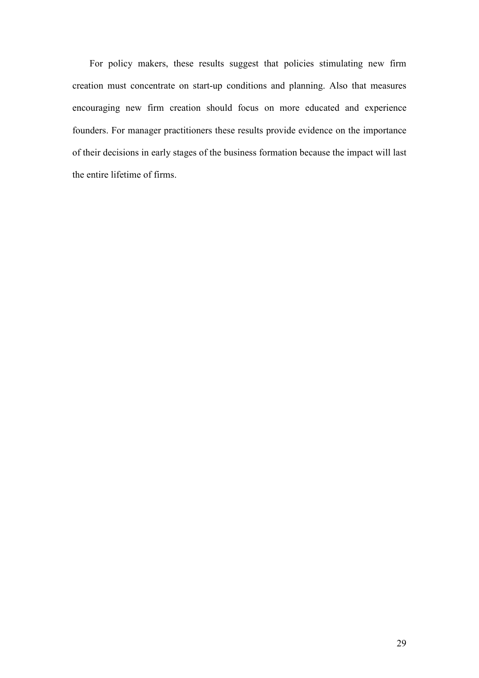For policy makers, these results suggest that policies stimulating new firm creation must concentrate on start-up conditions and planning. Also that measures encouraging new firm creation should focus on more educated and experience founders. For manager practitioners these results provide evidence on the importance of their decisions in early stages of the business formation because the impact will last the entire lifetime of firms.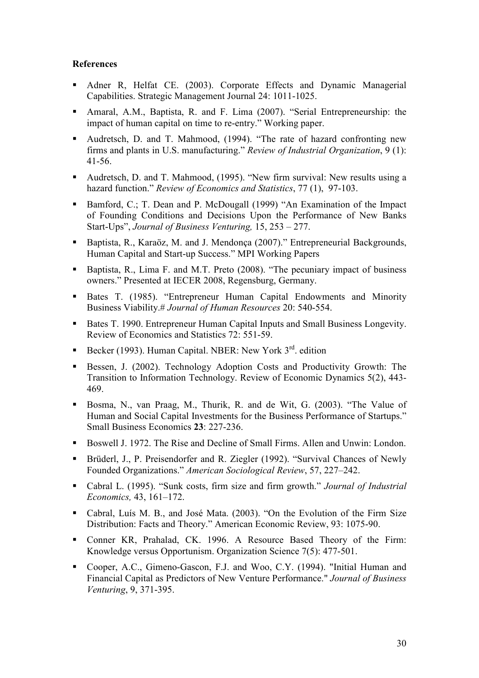## **References**

- Adner R, Helfat CE. (2003). Corporate Effects and Dynamic Managerial Capabilities. Strategic Management Journal 24: 1011-1025.
- Amaral, A.M., Baptista, R. and F. Lima (2007). "Serial Entrepreneurship: the impact of human capital on time to re-entry." Working paper.
- Audretsch, D. and T. Mahmood, (1994). "The rate of hazard confronting new firms and plants in U.S. manufacturing." *Review of Industrial Organization*, 9 (1): 41-56.
- Audretsch, D. and T. Mahmood, (1995). "New firm survival: New results using a hazard function." *Review of Economics and Statistics*, 77 (1), 97-103.
- Bamford, C.; T. Dean and P. McDougall (1999) "An Examination of the Impact of Founding Conditions and Decisions Upon the Performance of New Banks Start-Ups", *Journal of Business Venturing,* 15, 253 – 277.
- Baptista, R., Karaöz, M. and J. Mendonça (2007)." Entrepreneurial Backgrounds, Human Capital and Start-up Success." MPI Working Papers
- Baptista, R., Lima F. and M.T. Preto (2008). "The pecuniary impact of business owners." Presented at IECER 2008, Regensburg, Germany.
- Bates T. (1985). "Entrepreneur Human Capital Endowments and Minority Business Viability.# *Journal of Human Resources* 20: 540-554.
- Bates T. 1990. Entrepreneur Human Capital Inputs and Small Business Longevity. Review of Economics and Statistics 72: 551-59.
- Becker (1993). Human Capital. NBER: New York  $3<sup>rd</sup>$  edition
- Bessen, J. (2002). Technology Adoption Costs and Productivity Growth: The Transition to Information Technology. Review of Economic Dynamics 5(2), 443- 469.
- Bosma, N., van Praag, M., Thurik, R. and de Wit, G. (2003). "The Value of Human and Social Capital Investments for the Business Performance of Startups." Small Business Economics **23**: 227-236.
- Boswell J. 1972. The Rise and Decline of Small Firms. Allen and Unwin: London.
- Brüderl, J., P. Preisendorfer and R. Ziegler (1992). "Survival Chances of Newly Founded Organizations." *American Sociological Review*, 57, 227–242.
- Cabral L. (1995). "Sunk costs, firm size and firm growth." *Journal of Industrial Economics,* 43, 161–172.
- Cabral, Luís M. B., and José Mata. (2003). "On the Evolution of the Firm Size Distribution: Facts and Theory." American Economic Review, 93: 1075-90.
- Conner KR, Prahalad, CK. 1996. A Resource Based Theory of the Firm: Knowledge versus Opportunism. Organization Science 7(5): 477-501.
- Cooper, A.C., Gimeno-Gascon, F.J. and Woo, C.Y. (1994). "Initial Human and Financial Capital as Predictors of New Venture Performance." *Journal of Business Venturing*, 9, 371-395.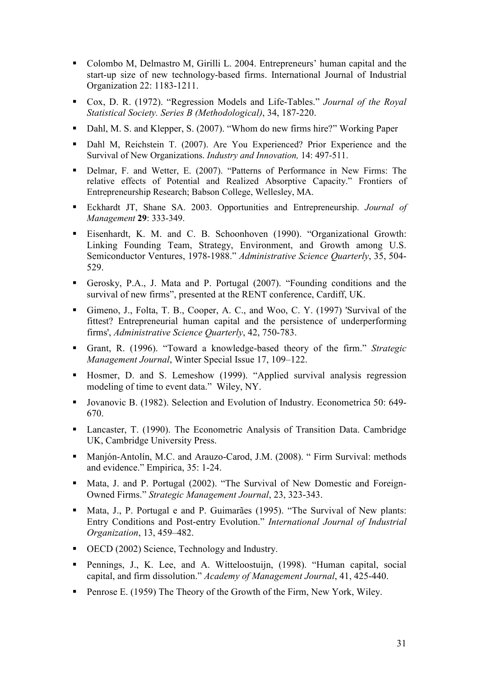- Colombo M, Delmastro M, Girilli L. 2004. Entrepreneurs' human capital and the start-up size of new technology-based firms. International Journal of Industrial Organization 22: 1183-1211.
- Cox, D. R. (1972). "Regression Models and Life-Tables." *Journal of the Royal Statistical Society. Series B (Methodological)*, 34, 187-220.
- Dahl, M. S. and Klepper, S. (2007). "Whom do new firms hire?" Working Paper
- Dahl M, Reichstein T. (2007). Are You Experienced? Prior Experience and the Survival of New Organizations. *Industry and Innovation,* 14: 497-511.
- Delmar, F. and Wetter, E. (2007). "Patterns of Performance in New Firms: The relative effects of Potential and Realized Absorptive Capacity." Frontiers of Entrepreneurship Research; Babson College, Wellesley, MA.
- Eckhardt JT, Shane SA. 2003. Opportunities and Entrepreneurship. *Journal of Management* **29**: 333-349.
- Eisenhardt, K. M. and C. B. Schoonhoven (1990). "Organizational Growth: Linking Founding Team, Strategy, Environment, and Growth among U.S. Semiconductor Ventures, 1978-1988." *Administrative Science Quarterly*, 35, 504- 529.
- Gerosky, P.A., J. Mata and P. Portugal (2007). "Founding conditions and the survival of new firms", presented at the RENT conference, Cardiff, UK.
- Gimeno, J., Folta, T. B., Cooper, A. C., and Woo, C. Y. (1997) 'Survival of the fittest? Entrepreneurial human capital and the persistence of underperforming firms', *Administrative Science Quarterly*, 42, 750-783.
- Grant, R. (1996). "Toward a knowledge-based theory of the firm." *Strategic Management Journal*, Winter Special Issue 17, 109–122.
- Hosmer, D. and S. Lemeshow (1999). "Applied survival analysis regression modeling of time to event data." Wiley, NY.
- Jovanovic B. (1982). Selection and Evolution of Industry. Econometrica 50: 649- 670.
- Lancaster, T. (1990). The Econometric Analysis of Transition Data. Cambridge UK, Cambridge University Press.
- Manjón-Antolín, M.C. and Arauzo-Carod, J.M. (2008). " Firm Survival: methods and evidence." Empirica, 35: 1-24.
- Mata, J. and P. Portugal (2002). "The Survival of New Domestic and Foreign-Owned Firms." *Strategic Management Journal*, 23, 323-343.
- Mata, J., P. Portugal e and P. Guimarães (1995). "The Survival of New plants: Entry Conditions and Post-entry Evolution." *International Journal of Industrial Organization*, 13, 459–482.
- OECD (2002) Science, Technology and Industry.
- Pennings, J., K. Lee, and A. Witteloostuijn, (1998). "Human capital, social capital, and firm dissolution." *Academy of Management Journal*, 41, 425-440.
- Penrose E. (1959) The Theory of the Growth of the Firm, New York, Wiley.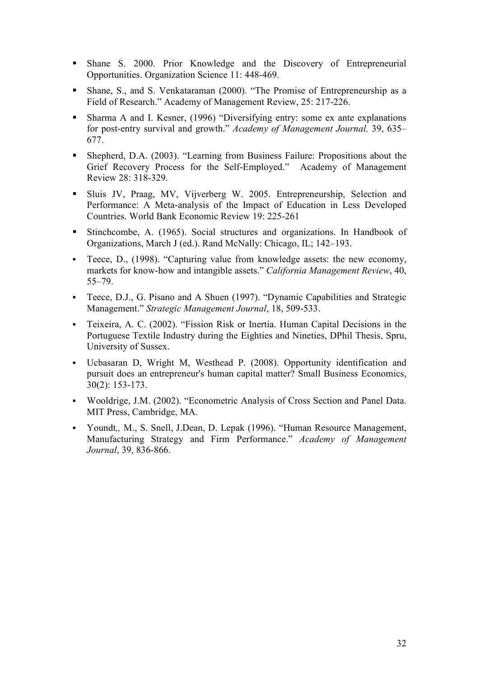- Shane S. 2000. Prior Knowledge and the Discovery of Entrepreneurial Opportunities. Organization Science 11: 448-469.
- Shane, S., and S. Venkataraman (2000). "The Promise of Entrepreneurship as a Field of Research." Academy of Management Review, 25: 217-226.
- Sharma A and I. Kesner, (1996) "Diversifying entry: some ex ante explanations for post-entry survival and growth." *Academy of Management Journal,* 39, 635– 677.
- Shepherd, D.A. (2003). "Learning from Business Failure: Propositions about the Grief Recovery Process for the Self-Employed." Academy of Management Review 28: 318-329.
- Sluis JV, Praag, MV, Vijverberg W. 2005. Entrepreneurship, Selection and Performance: A Meta-analysis of the Impact of Education in Less Developed Countries. World Bank Economic Review 19: 225-261
- Stinchcombe, A. (1965). Social structures and organizations. In Handbook of Organizations, March J (ed.). Rand McNally: Chicago, IL; 142–193.
- Teece, D., (1998). "Capturing value from knowledge assets: the new economy, markets for know-how and intangible assets." *California Management Review*, 40, 55–79.
- Teece, D.J., G. Pisano and A Shuen (1997). "Dynamic Capabilities and Strategic Management." *Strategic Management Journal*, 18, 509-533.
- Teixeira, A. C. (2002). "Fission Risk or Inertia. Human Capital Decisions in the Portuguese Textile Industry during the Eighties and Nineties, DPhil Thesis, Spru, University of Sussex.
- Ucbasaran D, Wright M, Westhead P. (2008). Opportunity identification and pursuit does an entrepreneur's human capital matter? Small Business Economics, 30(2): 153-173.
- Wooldrige, J.M. (2002). "Econometric Analysis of Cross Section and Panel Data. MIT Press, Cambridge, MA.
- Youndt*,,* M., S. Snell, J.Dean, D. Lepak (1996). "Human Resource Management, Manufacturing Strategy and Firm Performance." *Academy of Management Journal*, 39, 836-866.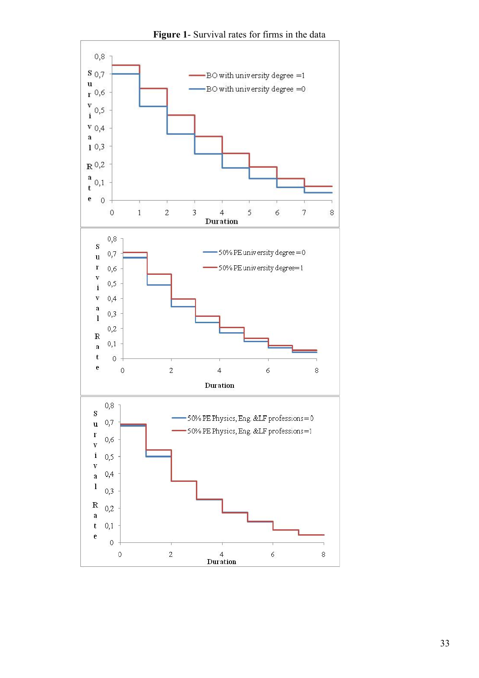

**Figure 1**- Survival rates for firms in the data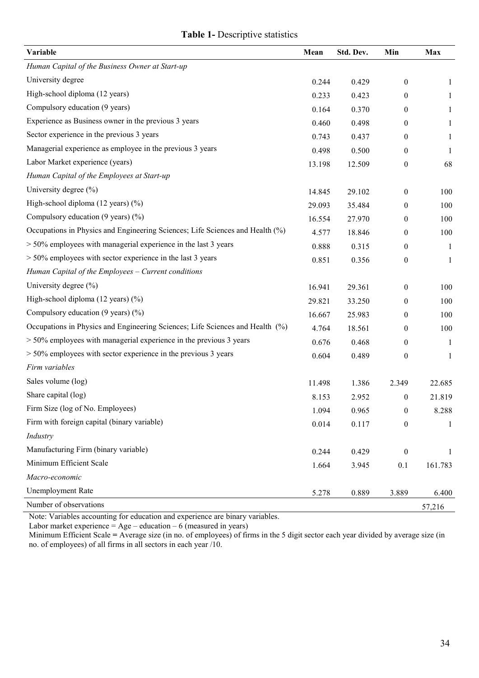## **Table 1-** Descriptive statistics

| Variable                                                                      | Mean   | Std. Dev. | Min              | Max          |
|-------------------------------------------------------------------------------|--------|-----------|------------------|--------------|
| Human Capital of the Business Owner at Start-up                               |        |           |                  |              |
| University degree                                                             | 0.244  | 0.429     | $\boldsymbol{0}$ | 1            |
| High-school diploma (12 years)                                                | 0.233  | 0.423     | $\boldsymbol{0}$ | 1            |
| Compulsory education (9 years)                                                | 0.164  | 0.370     | $\boldsymbol{0}$ | 1            |
| Experience as Business owner in the previous 3 years                          | 0.460  | 0.498     | $\boldsymbol{0}$ | $\mathbf{1}$ |
| Sector experience in the previous 3 years                                     | 0.743  | 0.437     | $\boldsymbol{0}$ | 1            |
| Managerial experience as employee in the previous 3 years                     | 0.498  | 0.500     | $\boldsymbol{0}$ | 1            |
| Labor Market experience (years)                                               | 13.198 | 12.509    | $\boldsymbol{0}$ | 68           |
| Human Capital of the Employees at Start-up                                    |        |           |                  |              |
| University degree (%)                                                         | 14.845 | 29.102    | $\boldsymbol{0}$ | 100          |
| High-school diploma (12 years) (%)                                            | 29.093 | 35.484    | $\boldsymbol{0}$ | 100          |
| Compulsory education $(9 \text{ years})$ $(\%)$                               | 16.554 | 27.970    | $\boldsymbol{0}$ | 100          |
| Occupations in Physics and Engineering Sciences; Life Sciences and Health (%) | 4.577  | 18.846    | $\boldsymbol{0}$ | 100          |
| $>$ 50% employees with managerial experience in the last 3 years              | 0.888  | 0.315     | $\boldsymbol{0}$ | -1           |
| $>$ 50% employees with sector experience in the last 3 years                  | 0.851  | 0.356     | $\boldsymbol{0}$ | 1            |
| Human Capital of the Employees - Current conditions                           |        |           |                  |              |
| University degree (%)                                                         | 16.941 | 29.361    | $\boldsymbol{0}$ | 100          |
| High-school diploma $(12 \text{ years})$ $(\%)$                               | 29.821 | 33.250    | $\boldsymbol{0}$ | 100          |
| Compulsory education $(9 \text{ years})$ $(\frac{9}{0})$                      | 16.667 | 25.983    | $\boldsymbol{0}$ | 100          |
| Occupations in Physics and Engineering Sciences; Life Sciences and Health (%) | 4.764  | 18.561    | $\boldsymbol{0}$ | 100          |
| $>$ 50% employees with managerial experience in the previous 3 years          | 0.676  | 0.468     | $\boldsymbol{0}$ | 1            |
| $>$ 50% employees with sector experience in the previous 3 years              | 0.604  | 0.489     | $\boldsymbol{0}$ | $\mathbf{1}$ |
| Firm variables                                                                |        |           |                  |              |
| Sales volume (log)                                                            | 11.498 | 1.386     | 2.349            | 22.685       |
| Share capital (log)                                                           | 8.153  | 2.952     | $\boldsymbol{0}$ | 21.819       |
| Firm Size (log of No. Employees)                                              | 1.094  | 0.965     | $\boldsymbol{0}$ | 8.288        |
| Firm with foreign capital (binary variable)                                   | 0.014  | 0.117     | $\boldsymbol{0}$ | $\mathbf{1}$ |
| Industry                                                                      |        |           |                  |              |
| Manufacturing Firm (binary variable)                                          | 0.244  | 0.429     | $\boldsymbol{0}$ | 1            |
| Minimum Efficient Scale                                                       | 1.664  | 3.945     | 0.1              | 161.783      |
| Macro-economic                                                                |        |           |                  |              |
| <b>Unemployment Rate</b>                                                      | 5.278  | 0.889     | 3.889            | 6.400        |
| Number of observations                                                        |        |           |                  | 57,216       |

Note: Variables accounting for education and experience are binary variables.

Labor market experience  $=$  Age – education – 6 (measured in years)

Minimum Efficient Scale **=** Average size (in no. of employees) of firms in the 5 digit sector each year divided by average size (in no. of employees) of all firms in all sectors in each year /10.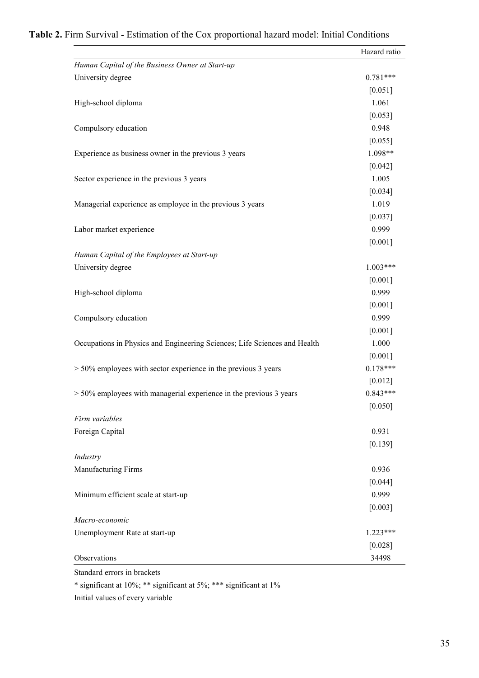|                                                                           | Hazard ratio |
|---------------------------------------------------------------------------|--------------|
| Human Capital of the Business Owner at Start-up                           |              |
| University degree                                                         | $0.781***$   |
|                                                                           | [0.051]      |
| High-school diploma                                                       | 1.061        |
|                                                                           | [0.053]      |
| Compulsory education                                                      | 0.948        |
|                                                                           | [0.055]      |
| Experience as business owner in the previous 3 years                      | 1.098**      |
|                                                                           | $[0.042]$    |
| Sector experience in the previous 3 years                                 | 1.005        |
|                                                                           | $[0.034]$    |
| Managerial experience as employee in the previous 3 years                 | 1.019        |
|                                                                           | [0.037]      |
| Labor market experience                                                   | 0.999        |
|                                                                           | $[0.001]$    |
| Human Capital of the Employees at Start-up                                |              |
| University degree                                                         | $1.003***$   |
|                                                                           | $[0.001]$    |
| High-school diploma                                                       | 0.999        |
|                                                                           | [0.001]      |
| Compulsory education                                                      | 0.999        |
|                                                                           | [0.001]      |
| Occupations in Physics and Engineering Sciences; Life Sciences and Health | 1.000        |
|                                                                           | $[0.001]$    |
| $> 50\%$ employees with sector experience in the previous 3 years         | $0.178***$   |
|                                                                           | $[0.012]$    |
| $> 50\%$ employees with managerial experience in the previous 3 years     | $0.843***$   |
|                                                                           | [0.050]      |
| Firm variables                                                            |              |
| Foreign Capital                                                           | 0.931        |
|                                                                           | [0.139]      |
| Industry                                                                  |              |
| Manufacturing Firms                                                       | 0.936        |
|                                                                           | [0.044]      |
| Minimum efficient scale at start-up                                       | 0.999        |
|                                                                           | [0.003]      |
| Macro-economic                                                            |              |
| Unemployment Rate at start-up                                             | $1.223***$   |
|                                                                           | $[0.028]$    |
| Observations                                                              | 34498        |
|                                                                           |              |

## **Table 2.** Firm Survival - Estimation of the Cox proportional hazard model: Initial Conditions

Standard errors in brackets

\* significant at 10%; \*\* significant at 5%; \*\*\* significant at 1%

Initial values of every variable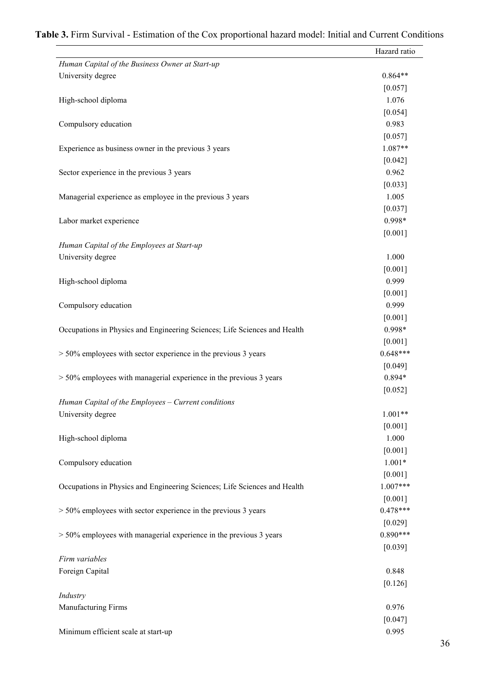|                                                                           | Hazard ratio |
|---------------------------------------------------------------------------|--------------|
| Human Capital of the Business Owner at Start-up                           |              |
| University degree                                                         | $0.864**$    |
|                                                                           | [0.057]      |
| High-school diploma                                                       | 1.076        |
|                                                                           | [0.054]      |
| Compulsory education                                                      | 0.983        |
|                                                                           | [0.057]      |
| Experience as business owner in the previous 3 years                      | 1.087**      |
|                                                                           | $[0.042]$    |
| Sector experience in the previous 3 years                                 | 0.962        |
|                                                                           | [0.033]      |
| Managerial experience as employee in the previous 3 years                 | 1.005        |
|                                                                           | $[0.037]$    |
| Labor market experience                                                   | 0.998*       |
|                                                                           | $[0.001]$    |
| Human Capital of the Employees at Start-up                                |              |
| University degree                                                         | 1.000        |
|                                                                           | [0.001]      |
| High-school diploma                                                       | 0.999        |
|                                                                           | [0.001]      |
| Compulsory education                                                      | 0.999        |
|                                                                           | [0.001]      |
| Occupations in Physics and Engineering Sciences; Life Sciences and Health | 0.998*       |
|                                                                           | $[0.001]$    |
| $> 50\%$ employees with sector experience in the previous 3 years         | $0.648***$   |
|                                                                           | [0.049]      |
| $> 50\%$ employees with managerial experience in the previous 3 years     | 0.894*       |
|                                                                           | $[0.052]$    |
| Human Capital of the Employees - Current conditions                       |              |
| University degree                                                         | $1.001**$    |
|                                                                           | $[0.001]$    |
| High-school diploma                                                       | 1.000        |
|                                                                           | $[0.001]$    |
| Compulsory education                                                      | $1.001*$     |
|                                                                           | $[0.001]$    |
| Occupations in Physics and Engineering Sciences; Life Sciences and Health | $1.007***$   |
|                                                                           | [0.001]      |
| $> 50\%$ employees with sector experience in the previous 3 years         | $0.478***$   |
|                                                                           | [0.029]      |
| $> 50\%$ employees with managerial experience in the previous 3 years     | $0.890***$   |
|                                                                           | [0.039]      |
| Firm variables                                                            |              |
| Foreign Capital                                                           | 0.848        |
|                                                                           | [0.126]      |
| Industry                                                                  |              |
| Manufacturing Firms                                                       | 0.976        |
|                                                                           | $[0.047]$    |
| Minimum efficient scale at start-up                                       | 0.995        |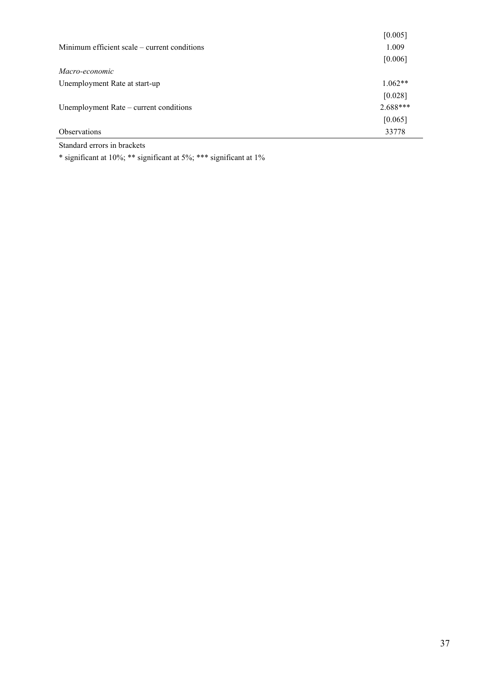|                                                | [0.005]    |
|------------------------------------------------|------------|
| Minimum efficient scale – current conditions   | 1.009      |
|                                                | [0.006]    |
| Macro-economic                                 |            |
| Unemployment Rate at start-up                  | $1.062**$  |
|                                                | [0.028]    |
| Unemployment Rate – current conditions         | $2.688***$ |
|                                                | [0.065]    |
| <b>Observations</b>                            | 33778      |
| $\cdots$<br>$\sim$ $\sim$ $\sim$ $\sim$ $\sim$ |            |

Standard errors in brackets

\* significant at 10%; \*\* significant at 5%; \*\*\* significant at 1%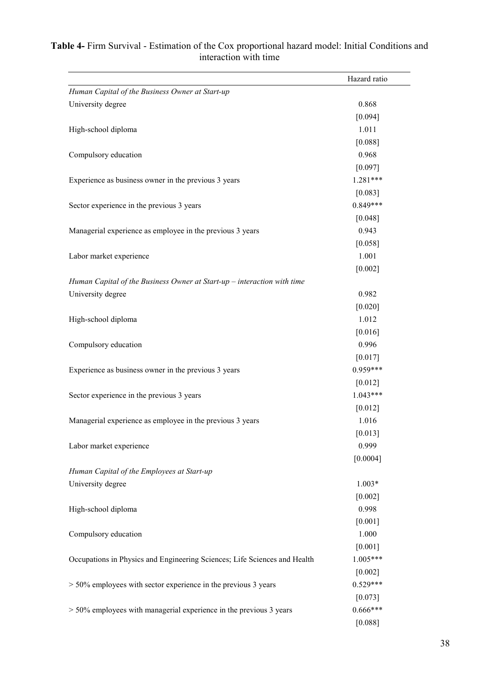| Human Capital of the Business Owner at Start-up<br>University degree<br>High-school diploma<br>Compulsory education<br>Experience as business owner in the previous 3 years<br>Sector experience in the previous 3 years | Hazard ratio          |
|--------------------------------------------------------------------------------------------------------------------------------------------------------------------------------------------------------------------------|-----------------------|
|                                                                                                                                                                                                                          |                       |
|                                                                                                                                                                                                                          | 0.868                 |
|                                                                                                                                                                                                                          | [0.094]               |
|                                                                                                                                                                                                                          | 1.011                 |
|                                                                                                                                                                                                                          | [0.088]               |
|                                                                                                                                                                                                                          | 0.968                 |
|                                                                                                                                                                                                                          | [0.097]               |
|                                                                                                                                                                                                                          | 1.281***              |
|                                                                                                                                                                                                                          | $[0.083]$             |
|                                                                                                                                                                                                                          | $0.849***$            |
|                                                                                                                                                                                                                          | [0.048]               |
| Managerial experience as employee in the previous 3 years                                                                                                                                                                | 0.943                 |
|                                                                                                                                                                                                                          | [0.058]               |
| Labor market experience                                                                                                                                                                                                  | 1.001                 |
|                                                                                                                                                                                                                          | $[0.002]$             |
| Human Capital of the Business Owner at Start-up $-$ interaction with time                                                                                                                                                |                       |
| University degree                                                                                                                                                                                                        | 0.982                 |
|                                                                                                                                                                                                                          | $[0.020]$             |
| High-school diploma                                                                                                                                                                                                      | 1.012                 |
|                                                                                                                                                                                                                          | [0.016]               |
| Compulsory education                                                                                                                                                                                                     | 0.996                 |
|                                                                                                                                                                                                                          | $[0.017]$             |
| Experience as business owner in the previous 3 years                                                                                                                                                                     | $0.959***$            |
|                                                                                                                                                                                                                          | $[0.012]$             |
| Sector experience in the previous 3 years                                                                                                                                                                                | 1.043***              |
|                                                                                                                                                                                                                          | $[0.012]$             |
| Managerial experience as employee in the previous 3 years                                                                                                                                                                | 1.016                 |
|                                                                                                                                                                                                                          | $[0.013]$             |
| Labor market experience                                                                                                                                                                                                  | 0.999                 |
|                                                                                                                                                                                                                          | [0.0004]              |
| Human Capital of the Employees at Start-up                                                                                                                                                                               |                       |
| University degree                                                                                                                                                                                                        | $1.003*$              |
|                                                                                                                                                                                                                          | [0.002]               |
| High-school diploma                                                                                                                                                                                                      | 0.998                 |
|                                                                                                                                                                                                                          | [0.001]               |
| Compulsory education                                                                                                                                                                                                     | 1.000                 |
|                                                                                                                                                                                                                          | [0.001]               |
| Occupations in Physics and Engineering Sciences; Life Sciences and Health                                                                                                                                                |                       |
|                                                                                                                                                                                                                          |                       |
| $>$ 50% employees with sector experience in the previous 3 years                                                                                                                                                         | $1.005***$            |
|                                                                                                                                                                                                                          | [0.002]<br>$0.529***$ |
| $>$ 50% employees with managerial experience in the previous 3 years                                                                                                                                                     |                       |
|                                                                                                                                                                                                                          | [0.073]<br>$0.666***$ |

## **Table 4-** Firm Survival - Estimation of the Cox proportional hazard model: Initial Conditions and interaction with time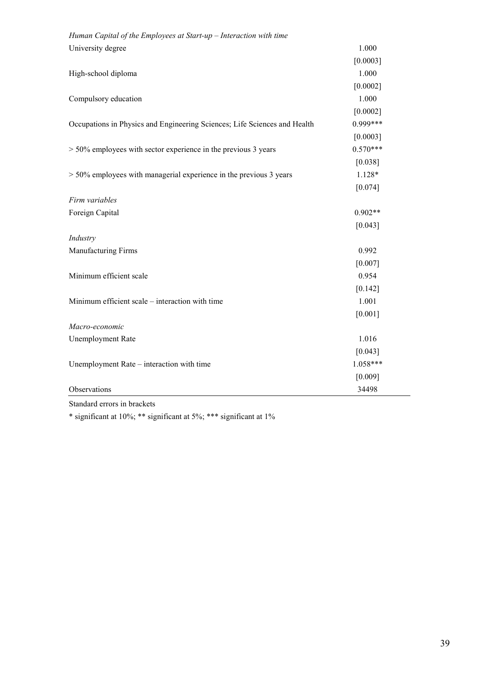| Human Capital of the Employees at Start-up $-$ Interaction with time      |            |
|---------------------------------------------------------------------------|------------|
| University degree                                                         | 1.000      |
|                                                                           | [0.0003]   |
| High-school diploma                                                       | 1.000      |
|                                                                           | [0.0002]   |
| Compulsory education                                                      | 1.000      |
|                                                                           | [0.0002]   |
| Occupations in Physics and Engineering Sciences; Life Sciences and Health | $0.999***$ |
|                                                                           | [0.0003]   |
| $> 50\%$ employees with sector experience in the previous 3 years         | $0.570***$ |
|                                                                           | [0.038]    |
| $> 50\%$ employees with managerial experience in the previous 3 years     | 1.128*     |
|                                                                           | [0.074]    |
| Firm variables                                                            |            |
| Foreign Capital                                                           | $0.902**$  |
|                                                                           | [0.043]    |
| Industry                                                                  |            |
| Manufacturing Firms                                                       | 0.992      |
|                                                                           | [0.007]    |
| Minimum efficient scale                                                   | 0.954      |
|                                                                           | [0.142]    |
| Minimum efficient scale – interaction with time                           | 1.001      |
|                                                                           | [0.001]    |
| Macro-economic                                                            |            |
| <b>Unemployment Rate</b>                                                  | 1.016      |
|                                                                           | [0.043]    |
| Unemployment Rate - interaction with time                                 | $1.058***$ |
|                                                                           | [0.009]    |
| Observations                                                              | 34498      |

Standard errors in brackets

\* significant at 10%; \*\* significant at 5%; \*\*\* significant at 1%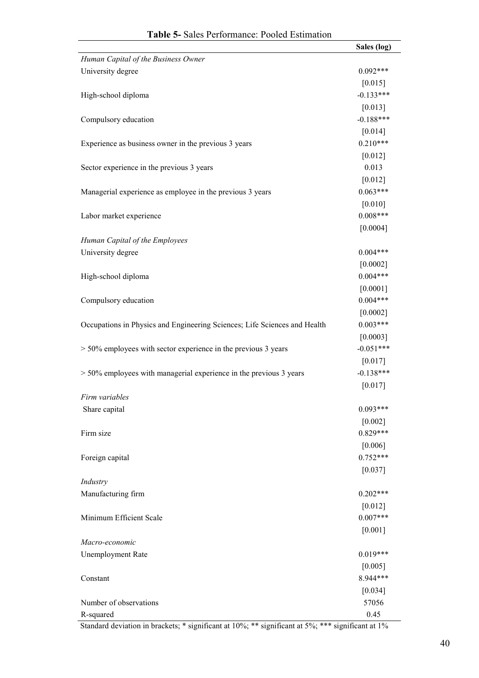|                                                                           | Sales (log) |
|---------------------------------------------------------------------------|-------------|
| Human Capital of the Business Owner                                       |             |
| University degree                                                         | $0.092***$  |
|                                                                           | $[0.015]$   |
| High-school diploma                                                       | $-0.133***$ |
|                                                                           | [0.013]     |
| Compulsory education                                                      | $-0.188***$ |
|                                                                           | [0.014]     |
| Experience as business owner in the previous 3 years                      | $0.210***$  |
|                                                                           | [0.012]     |
| Sector experience in the previous 3 years                                 | 0.013       |
|                                                                           | $[0.012]$   |
| Managerial experience as employee in the previous 3 years                 | $0.063***$  |
|                                                                           | [0.010]     |
| Labor market experience                                                   | $0.008***$  |
|                                                                           |             |
|                                                                           | [0.0004]    |
| Human Capital of the Employees                                            |             |
| University degree                                                         | $0.004***$  |
|                                                                           | $[0.0002]$  |
| High-school diploma                                                       | $0.004***$  |
|                                                                           | [0.0001]    |
| Compulsory education                                                      | $0.004***$  |
|                                                                           | $[0.0002]$  |
| Occupations in Physics and Engineering Sciences; Life Sciences and Health | $0.003***$  |
|                                                                           | [0.0003]    |
| $> 50\%$ employees with sector experience in the previous 3 years         | $-0.051***$ |
|                                                                           | [0.017]     |
| $> 50\%$ employees with managerial experience in the previous 3 years     | $-0.138***$ |
|                                                                           | [0.017]     |
| Firm variables                                                            |             |
| Share capital                                                             | $0.093***$  |
|                                                                           | [0.002]     |
| Firm size                                                                 | $0.829***$  |
|                                                                           | [0.006]     |
| Foreign capital                                                           | $0.752***$  |
|                                                                           | $[0.037]$   |
| Industry                                                                  |             |
| Manufacturing firm                                                        | $0.202***$  |
|                                                                           | [0.012]     |
| Minimum Efficient Scale                                                   | $0.007***$  |
|                                                                           | [0.001]     |
| Macro-economic                                                            |             |
| <b>Unemployment Rate</b>                                                  | $0.019***$  |
|                                                                           | [0.005]     |
| Constant                                                                  | 8.944***    |
|                                                                           | $[0.034]$   |
| Number of observations                                                    | 57056       |
| R-squared                                                                 | 0.45        |
|                                                                           |             |

Standard deviation in brackets; \* significant at 10%; \*\* significant at 5%; \*\*\* significant at 1%